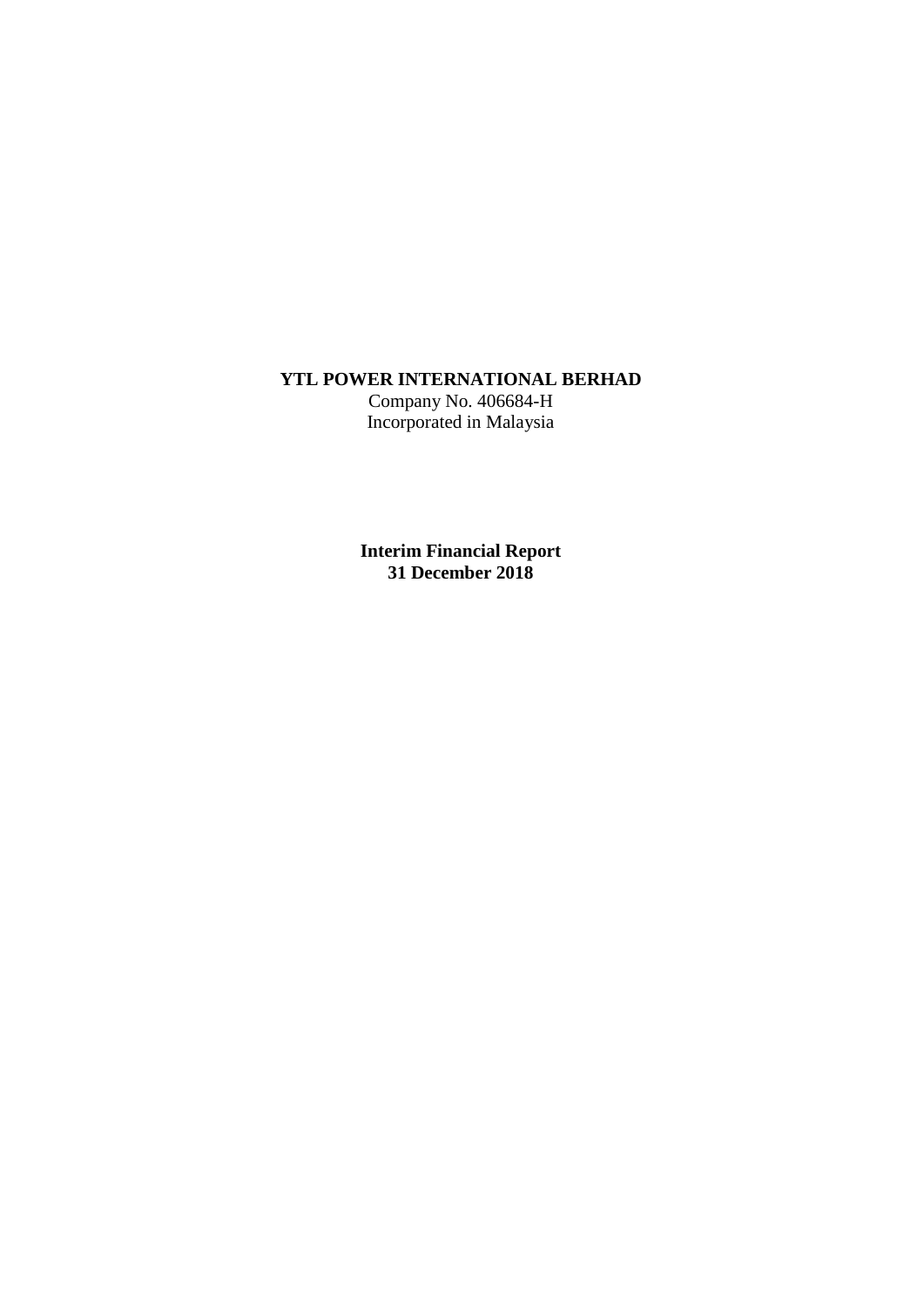# **YTL POWER INTERNATIONAL BERHAD**

Company No. 406684-H Incorporated in Malaysia

**Interim Financial Report 31 December 2018**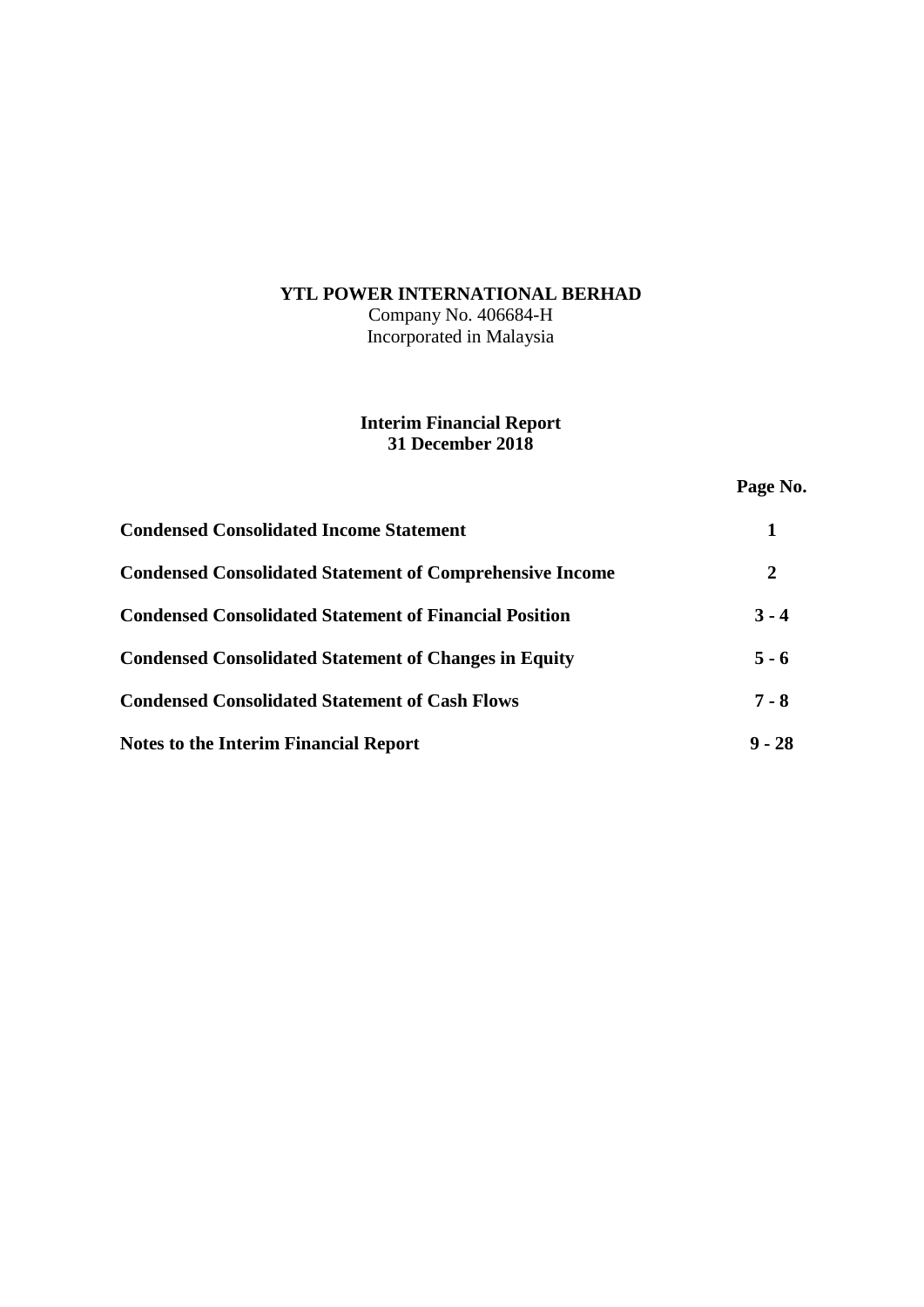# **YTL POWER INTERNATIONAL BERHAD**

Company No. 406684-H Incorporated in Malaysia

# **Interim Financial Report 31 December 2018**

**Page No.**

| <b>Condensed Consolidated Income Statement</b>                  |          |
|-----------------------------------------------------------------|----------|
| <b>Condensed Consolidated Statement of Comprehensive Income</b> | 2        |
| <b>Condensed Consolidated Statement of Financial Position</b>   | $3 - 4$  |
| <b>Condensed Consolidated Statement of Changes in Equity</b>    | $5 - 6$  |
| <b>Condensed Consolidated Statement of Cash Flows</b>           | $7 - 8$  |
| <b>Notes to the Interim Financial Report</b>                    | $9 - 28$ |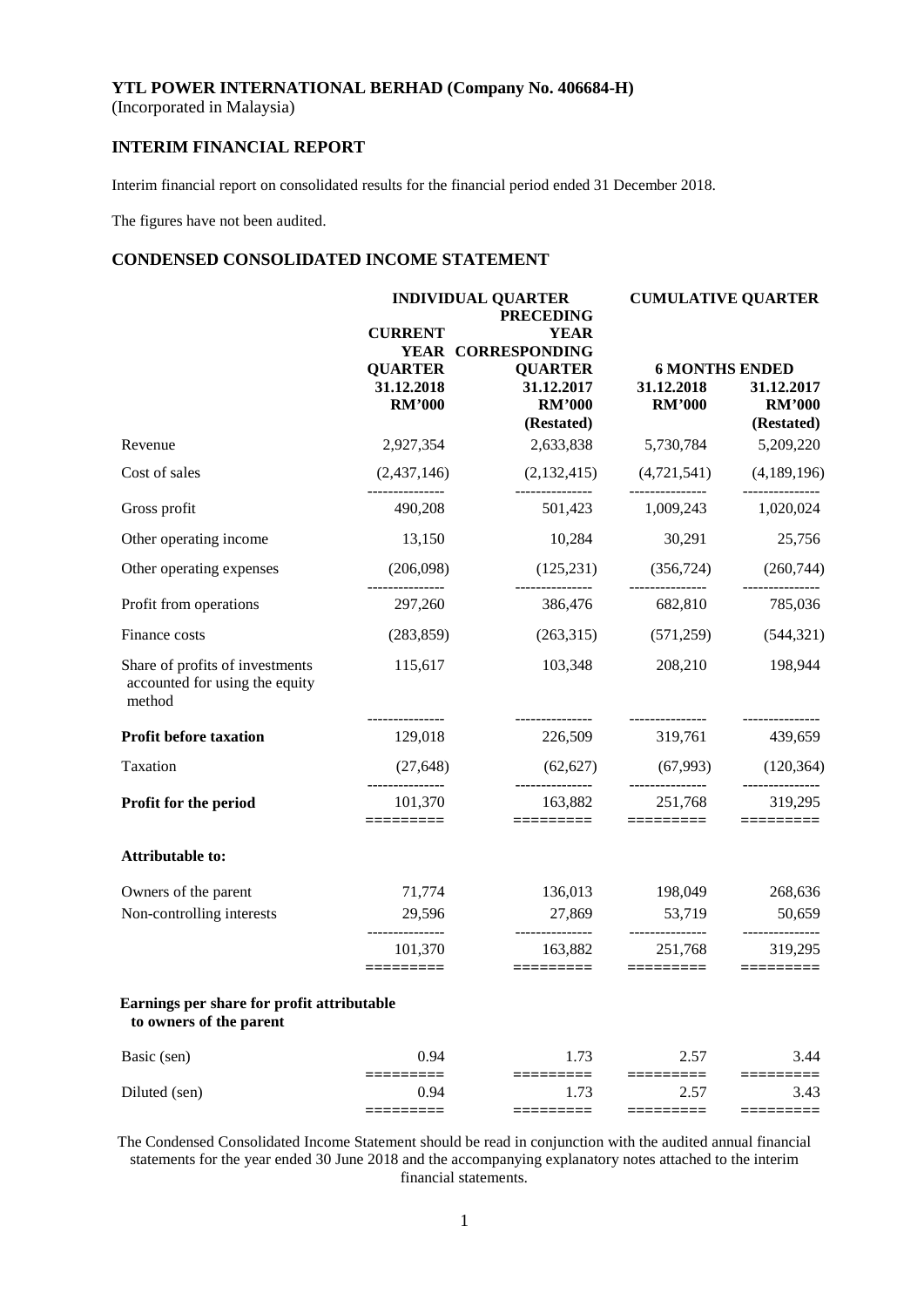(Incorporated in Malaysia)

# **INTERIM FINANCIAL REPORT**

Interim financial report on consolidated results for the financial period ended 31 December 2018.

The figures have not been audited.

## **CONDENSED CONSOLIDATED INCOME STATEMENT**

|                                                                             |                             | <b>INDIVIDUAL QUARTER</b><br><b>PRECEDING</b> | <b>CUMULATIVE QUARTER</b>                      |                             |  |
|-----------------------------------------------------------------------------|-----------------------------|-----------------------------------------------|------------------------------------------------|-----------------------------|--|
|                                                                             | <b>CURRENT</b>              | <b>YEAR</b>                                   |                                                |                             |  |
|                                                                             |                             | YEAR CORRESPONDING                            |                                                |                             |  |
|                                                                             | <b>QUARTER</b>              | <b>QUARTER</b>                                | <b>6 MONTHS ENDED</b>                          |                             |  |
|                                                                             | 31.12.2018<br><b>RM'000</b> | 31.12.2017<br><b>RM'000</b>                   | 31.12.2018<br><b>RM'000</b>                    | 31.12.2017<br><b>RM'000</b> |  |
|                                                                             |                             | (Restated)                                    |                                                | (Restated)                  |  |
| Revenue                                                                     | 2,927,354                   | 2,633,838                                     | 5,730,784                                      | 5,209,220                   |  |
| Cost of sales                                                               | (2,437,146)                 | (2,132,415)                                   | $(4,721,541)$ $(4,189,196)$                    |                             |  |
| Gross profit                                                                | 490,208                     | _______________                               | ---------------<br>501,423 1,009,243 1,020,024 |                             |  |
| Other operating income                                                      | 13,150                      | 10,284                                        | 30,291                                         | 25,756                      |  |
| Other operating expenses                                                    | (206,098)                   | (125, 231)<br>_________________               | (356, 724)<br>---------------                  | (260, 744)                  |  |
| Profit from operations                                                      | 297,260                     | 386,476                                       | 682,810                                        | 785,036                     |  |
| Finance costs                                                               | (283, 859)                  |                                               | $(263,315)$ $(571,259)$                        | (544, 321)                  |  |
| Share of profits of investments<br>accounted for using the equity<br>method | 115,617                     | 103,348<br>---------------                    | 208,210<br>----------------                    | 198,944<br>---------------  |  |
| <b>Profit before taxation</b>                                               | 129,018                     | 226,509                                       | 319,761                                        | 439,659                     |  |
| Taxation                                                                    | (27, 648)                   | (62, 627)                                     | (67,993)                                       | (120, 364)                  |  |
| Profit for the period                                                       | 101,370<br>==========       | 163,882<br>=========                          | 251,768<br>=========                           | 319,295                     |  |
| Attributable to:                                                            |                             |                                               |                                                |                             |  |
| Owners of the parent                                                        | 71,774                      | 136,013                                       | 198,049                                        | 268,636                     |  |
| Non-controlling interests                                                   | 29,596<br>--------------    | 27,869<br>---------------                     | 53,719<br>---------------                      | 50,659<br>-------------     |  |
|                                                                             | 101,370<br>=========        | 163,882<br>$=$ ========                       | 251,768                                        | 319,295                     |  |
| Earnings per share for profit attributable<br>to owners of the parent       |                             |                                               |                                                |                             |  |
| Basic (sen)                                                                 | 0.94                        | 1.73                                          | 2.57                                           | 3.44                        |  |
| Diluted (sen)                                                               | 0.94                        | 1.73                                          | 2.57                                           | 3.43                        |  |
|                                                                             | =====                       | =======                                       | =========                                      | =======                     |  |

The Condensed Consolidated Income Statement should be read in conjunction with the audited annual financial statements for the year ended 30 June 2018 and the accompanying explanatory notes attached to the interim financial statements.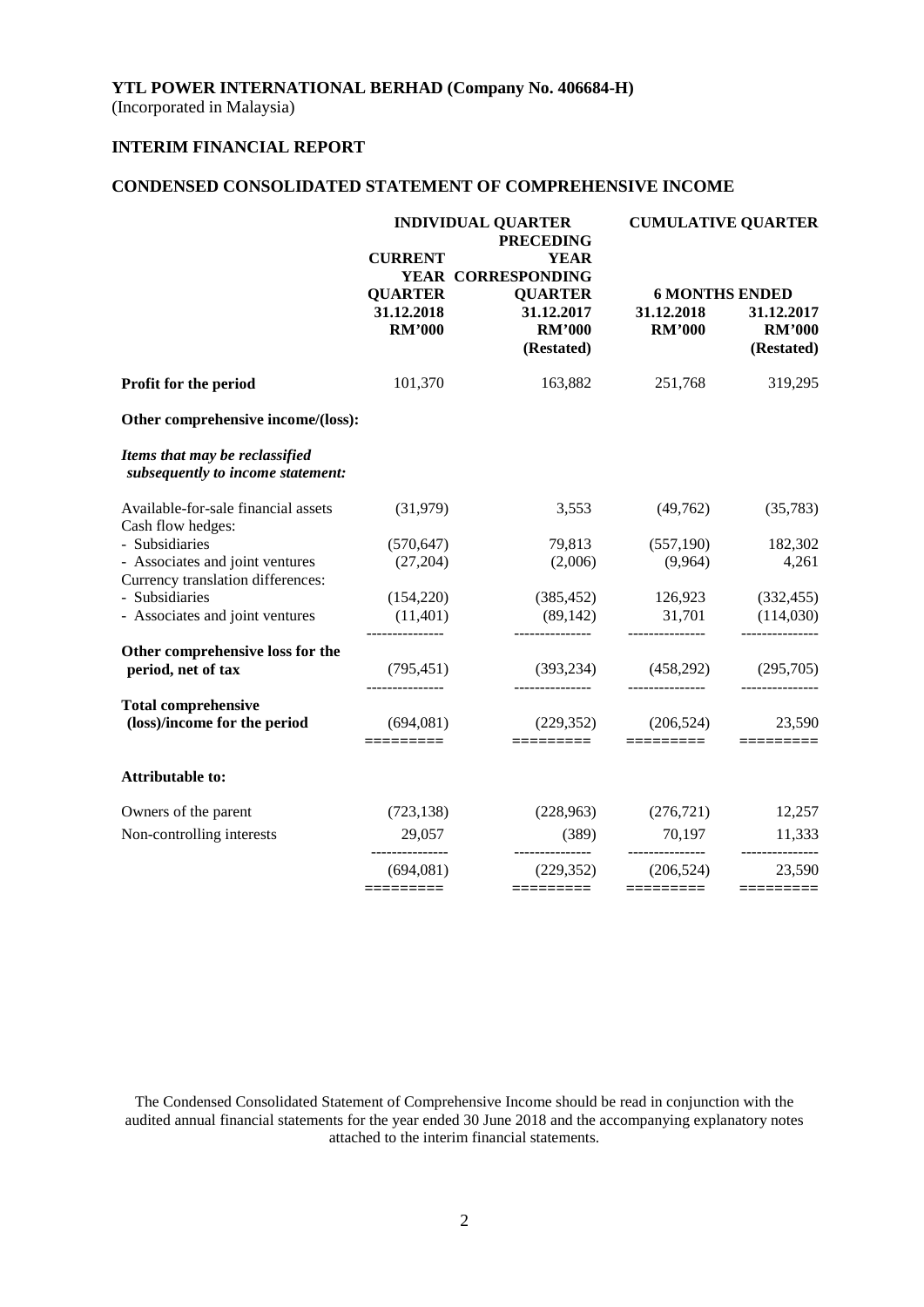(Incorporated in Malaysia)

# **INTERIM FINANCIAL REPORT**

# **CONDENSED CONSOLIDATED STATEMENT OF COMPREHENSIVE INCOME**

|                                                                      | <b>INDIVIDUAL QUARTER</b><br><b>PRECEDING</b> |                                                     |                             | <b>CUMULATIVE QUARTER</b>                 |
|----------------------------------------------------------------------|-----------------------------------------------|-----------------------------------------------------|-----------------------------|-------------------------------------------|
|                                                                      | <b>CURRENT</b><br><b>QUARTER</b>              | <b>YEAR</b><br>YEAR CORRESPONDING<br><b>QUARTER</b> |                             | <b>6 MONTHS ENDED</b>                     |
|                                                                      | 31.12.2018<br><b>RM'000</b>                   | 31.12.2017<br><b>RM'000</b><br>(Restated)           | 31.12.2018<br><b>RM'000</b> | 31.12.2017<br><b>RM'000</b><br>(Restated) |
| Profit for the period                                                | 101,370                                       | 163,882                                             | 251,768                     | 319,295                                   |
| Other comprehensive income/(loss):                                   |                                               |                                                     |                             |                                           |
| Items that may be reclassified<br>subsequently to income statement:  |                                               |                                                     |                             |                                           |
| Available-for-sale financial assets<br>Cash flow hedges:             | (31,979)                                      | 3,553                                               | (49,762)                    | (35, 783)                                 |
| - Subsidiaries                                                       | (570, 647)                                    | 79,813                                              | (557,190)                   | 182,302                                   |
| - Associates and joint ventures<br>Currency translation differences: | (27,204)                                      | (2,006)                                             | (9,964)                     | 4,261                                     |
| - Subsidiaries                                                       | (154,220)                                     | (385, 452)                                          | 126,923                     | (332, 455)                                |
| - Associates and joint ventures                                      | (11,401)<br>---------------                   | (89, 142)<br>---------------                        | 31,701<br>---------------   | (114,030)<br>---------------              |
| Other comprehensive loss for the                                     |                                               |                                                     |                             |                                           |
| period, net of tax                                                   | (795, 451)                                    | (393, 234)                                          | (458,292)                   | (295,705)                                 |
| <b>Total comprehensive</b><br>(loss)/income for the period           | (694,081)                                     | (229, 352)                                          | (206, 524)                  | 23,590                                    |
|                                                                      | =========                                     | $=$ $=$ $=$ $=$ $=$ $=$ $=$ $=$ $=$                 | =========                   |                                           |
| <b>Attributable to:</b>                                              |                                               |                                                     |                             |                                           |
| Owners of the parent                                                 | (723, 138)                                    |                                                     | $(228,963)$ $(276,721)$     | 12,257                                    |
| Non-controlling interests                                            | 29,057<br>_______________                     | (389)<br>---------------                            | 70,197<br>---------------   | 11,333<br>---------------                 |
|                                                                      | (694,081)                                     | (229, 352)                                          | (206, 524)                  | 23,590                                    |
|                                                                      |                                               | =========                                           | =========                   | $=$ ========                              |

The Condensed Consolidated Statement of Comprehensive Income should be read in conjunction with the audited annual financial statements for the year ended 30 June 2018 and the accompanying explanatory notes attached to the interim financial statements.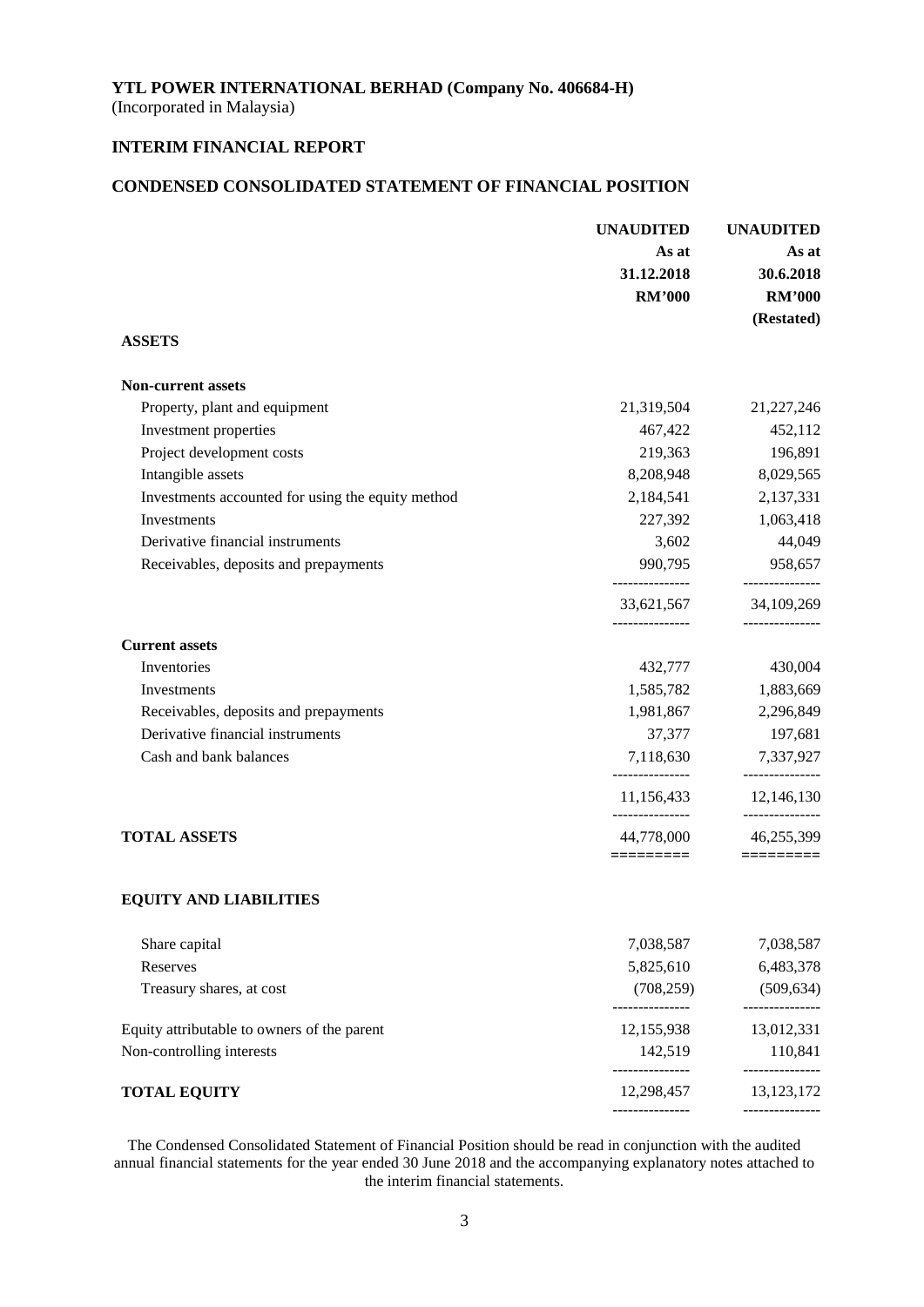(Incorporated in Malaysia)

# **INTERIM FINANCIAL REPORT**

## **CONDENSED CONSOLIDATED STATEMENT OF FINANCIAL POSITION**

|                                                   | <b>UNAUDITED</b>              | <b>UNAUDITED</b>              |  |
|---------------------------------------------------|-------------------------------|-------------------------------|--|
|                                                   | As at                         | As at                         |  |
|                                                   | 31.12.2018                    | 30.6.2018                     |  |
|                                                   | <b>RM'000</b>                 | <b>RM'000</b>                 |  |
|                                                   |                               | (Restated)                    |  |
| <b>ASSETS</b>                                     |                               |                               |  |
| <b>Non-current assets</b>                         |                               |                               |  |
| Property, plant and equipment                     | 21,319,504                    | 21,227,246                    |  |
| Investment properties                             | 467,422                       | 452,112                       |  |
| Project development costs                         | 219,363                       | 196,891                       |  |
| Intangible assets                                 | 8,208,948                     | 8,029,565                     |  |
| Investments accounted for using the equity method | 2,184,541                     | 2,137,331                     |  |
| Investments                                       | 227,392                       | 1,063,418                     |  |
| Derivative financial instruments                  | 3,602                         | 44,049                        |  |
| Receivables, deposits and prepayments             | 990,795                       | 958,657                       |  |
|                                                   | 33,621,567<br>--------------- | 34,109,269<br>_______________ |  |
| <b>Current assets</b>                             |                               |                               |  |
| Inventories                                       | 432,777                       | 430,004                       |  |
| Investments                                       | 1,585,782                     | 1,883,669                     |  |
| Receivables, deposits and prepayments             | 1,981,867                     | 2,296,849                     |  |
| Derivative financial instruments                  | 37,377                        | 197,681                       |  |
| Cash and bank balances                            | 7,118,630<br>_______________  | 7,337,927<br>---------------  |  |
|                                                   | 11,156,433<br>______________  | 12,146,130<br>--------------- |  |
| <b>TOTAL ASSETS</b>                               | 44,778,000<br>========        | 46,255,399                    |  |
| <b>EQUITY AND LIABILITIES</b>                     |                               |                               |  |
|                                                   |                               |                               |  |
| Share capital                                     | 7,038,587                     | 7,038,587                     |  |
| Reserves                                          | 5,825,610                     | 6,483,378                     |  |
| Treasury shares, at cost                          | (708, 259)<br>--------------- | (509, 634)<br>----------      |  |
| Equity attributable to owners of the parent       | 12,155,938                    | 13,012,331                    |  |
| Non-controlling interests                         | 142,519<br>--------------     | 110,841<br>------------       |  |
| <b>TOTAL EQUITY</b>                               | 12,298,457                    | 13,123,172                    |  |
|                                                   |                               |                               |  |

The Condensed Consolidated Statement of Financial Position should be read in conjunction with the audited annual financial statements for the year ended 30 June 2018 and the accompanying explanatory notes attached to the interim financial statements.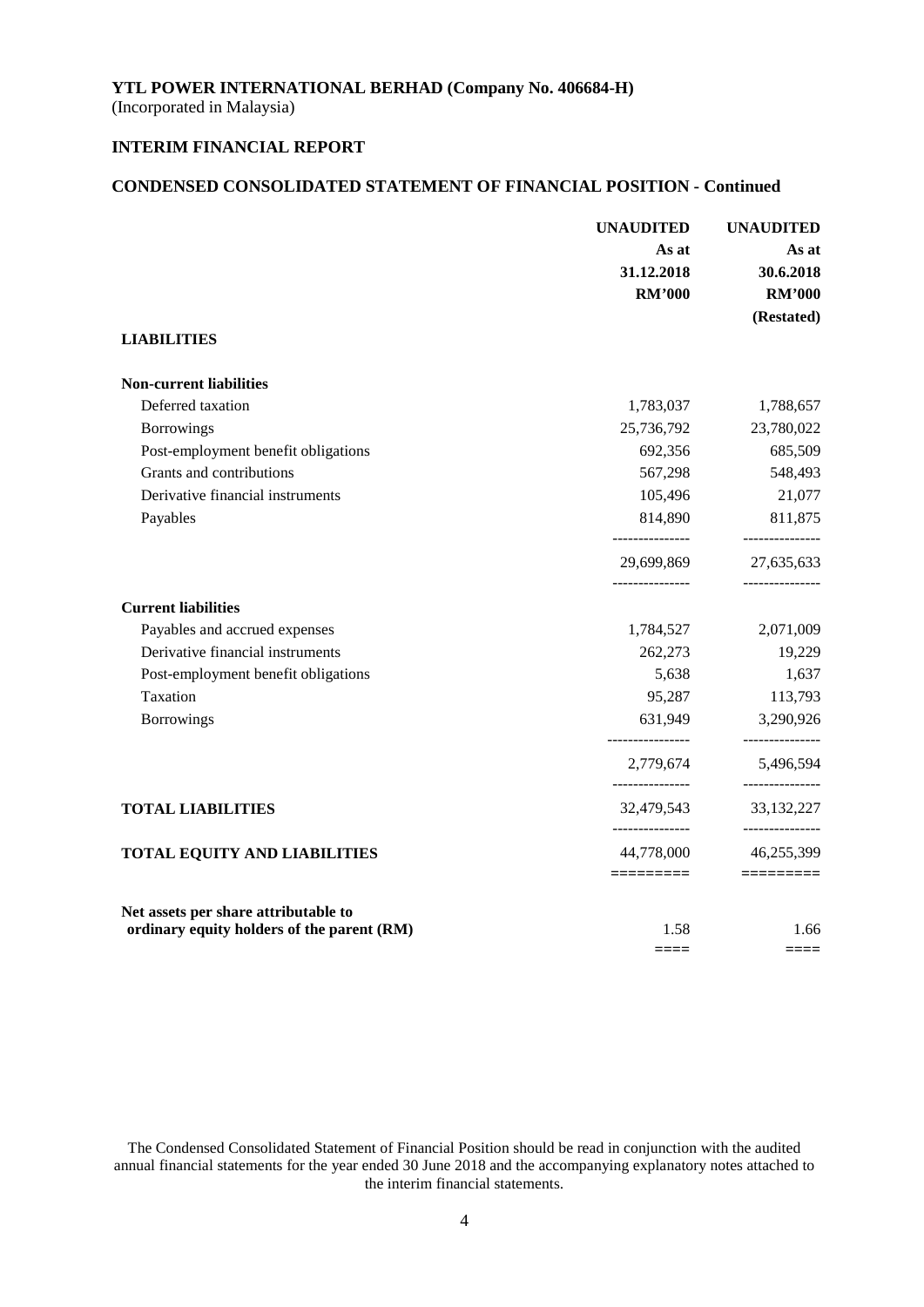(Incorporated in Malaysia)

# **INTERIM FINANCIAL REPORT**

# **CONDENSED CONSOLIDATED STATEMENT OF FINANCIAL POSITION - Continued**

|                                            | <b>UNAUDITED</b><br>As at<br>31.12.2018<br><b>RM'000</b> | <b>UNAUDITED</b><br>As at<br>30.6.2018<br><b>RM'000</b><br>(Restated) |
|--------------------------------------------|----------------------------------------------------------|-----------------------------------------------------------------------|
| <b>LIABILITIES</b>                         |                                                          |                                                                       |
| <b>Non-current liabilities</b>             |                                                          |                                                                       |
| Deferred taxation                          | 1,783,037                                                | 1,788,657                                                             |
| <b>Borrowings</b>                          | 25,736,792                                               | 23,780,022                                                            |
| Post-employment benefit obligations        | 692,356                                                  | 685,509                                                               |
| Grants and contributions                   | 567,298                                                  | 548,493                                                               |
| Derivative financial instruments           | 105,496                                                  | 21,077                                                                |
| Payables                                   | 814,890                                                  | 811,875                                                               |
|                                            | ---------------                                          | ---------------                                                       |
|                                            | 29,699,869<br>_______________                            | 27,635,633<br>---------------                                         |
| <b>Current liabilities</b>                 |                                                          |                                                                       |
| Payables and accrued expenses              | 1,784,527                                                | 2,071,009                                                             |
| Derivative financial instruments           | 262,273                                                  | 19,229                                                                |
| Post-employment benefit obligations        | 5,638                                                    | 1,637                                                                 |
| Taxation                                   | 95,287                                                   | 113,793                                                               |
| <b>Borrowings</b>                          | 631,949                                                  | 3,290,926<br>------------                                             |
|                                            | 2,779,674                                                | 5,496,594                                                             |
| <b>TOTAL LIABILITIES</b>                   | 32,479,543                                               | ---------------<br>33, 132, 227<br>---------------                    |
| <b>TOTAL EQUITY AND LIABILITIES</b>        | 44,778,000                                               | 46,255,399                                                            |
| Net assets per share attributable to       | =========                                                | =========                                                             |
| ordinary equity holders of the parent (RM) | 1.58<br>====                                             | 1.66<br>====                                                          |

The Condensed Consolidated Statement of Financial Position should be read in conjunction with the audited annual financial statements for the year ended 30 June 2018 and the accompanying explanatory notes attached to the interim financial statements.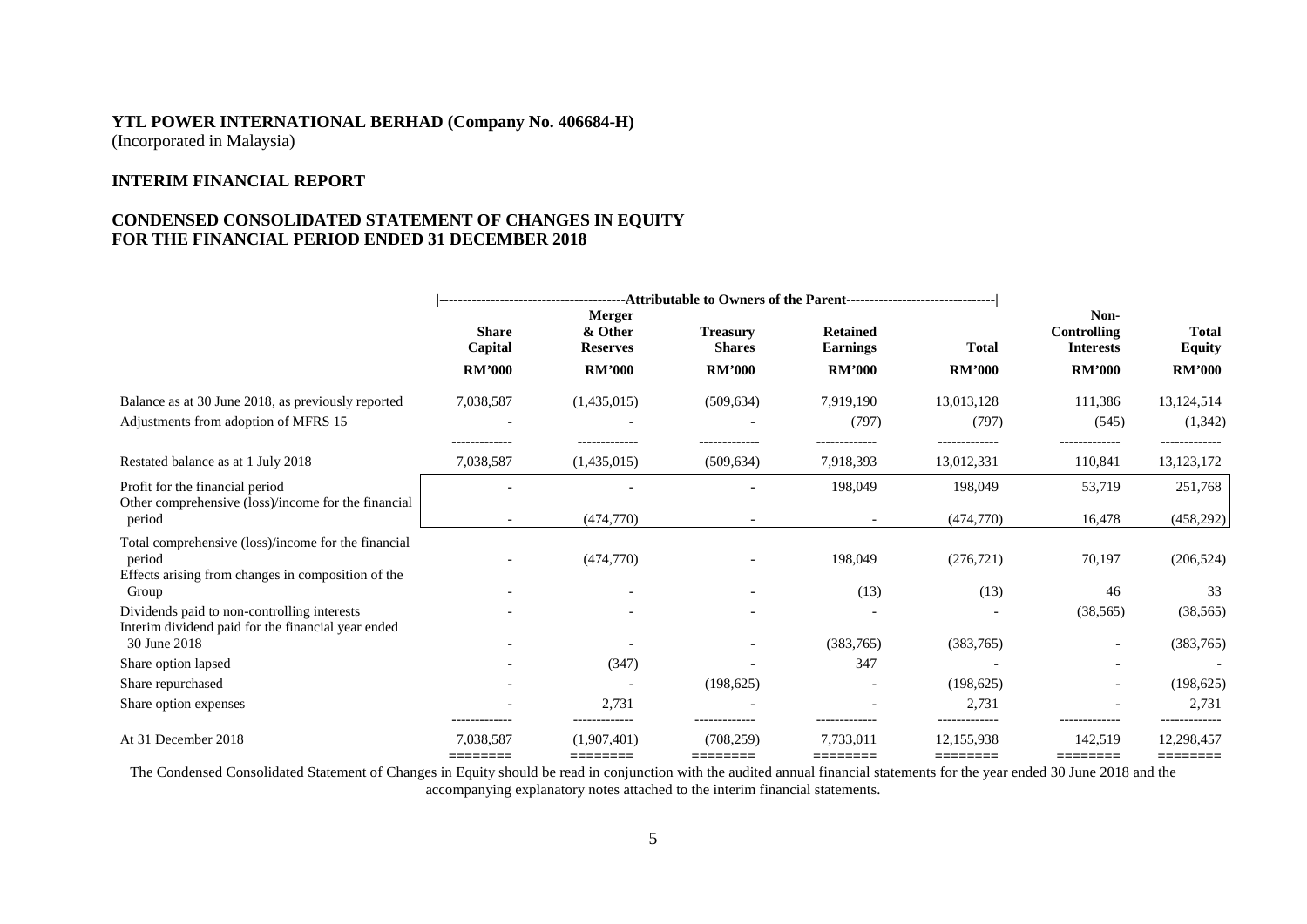## **INTERIM FINANCIAL REPORT**

## **CONDENSED CONSOLIDATED STATEMENT OF CHANGES IN EQUITY FOR THE FINANCIAL PERIOD ENDED 31 DECEMBER 2018**

|                                                                                                                              | <b>Share</b><br>Capital<br><b>RM'000</b> | <b>Merger</b><br>& Other<br><b>Reserves</b><br><b>RM'000</b> | <b>Treasury</b><br><b>Shares</b><br><b>RM'000</b> | <b>Retained</b><br><b>Earnings</b><br><b>RM'000</b> | <b>Total</b><br><b>RM'000</b>        | Non-<br>Controlling<br><b>Interests</b><br><b>RM'000</b> | <b>Total</b><br><b>Equity</b><br><b>RM'000</b> |
|------------------------------------------------------------------------------------------------------------------------------|------------------------------------------|--------------------------------------------------------------|---------------------------------------------------|-----------------------------------------------------|--------------------------------------|----------------------------------------------------------|------------------------------------------------|
| Balance as at 30 June 2018, as previously reported<br>Adjustments from adoption of MFRS 15                                   | 7,038,587<br>-------------               | (1,435,015)<br>-------------                                 | (509, 634)<br>-------------                       | 7,919,190<br>(797)<br>-------------                 | 13,013,128<br>(797)<br>------------- | 111,386<br>(545)<br>-------------                        | 13,124,514<br>(1, 342)<br>-------------        |
| Restated balance as at 1 July 2018                                                                                           | 7,038,587                                | (1,435,015)                                                  | (509, 634)                                        | 7,918,393                                           | 13,012,331                           | 110,841                                                  | 13, 123, 172                                   |
| Profit for the financial period                                                                                              |                                          |                                                              |                                                   | 198,049                                             | 198,049                              | 53,719                                                   | 251,768                                        |
| Other comprehensive (loss)/income for the financial<br>period                                                                | $\overline{\phantom{a}}$                 | (474,770)                                                    |                                                   |                                                     | (474, 770)                           | 16,478                                                   | (458, 292)                                     |
| Total comprehensive (loss)/income for the financial<br>period<br>Effects arising from changes in composition of the<br>Group |                                          | (474,770)                                                    |                                                   | 198,049<br>(13)                                     | (276, 721)<br>(13)                   | 70,197<br>46                                             | (206, 524)<br>33                               |
| Dividends paid to non-controlling interests                                                                                  |                                          |                                                              |                                                   |                                                     |                                      | (38, 565)                                                | (38, 565)                                      |
| Interim dividend paid for the financial year ended<br>30 June 2018                                                           |                                          |                                                              |                                                   | (383,765)                                           | (383,765)                            | $\overline{\phantom{a}}$                                 | (383,765)                                      |
| Share option lapsed                                                                                                          |                                          | (347)                                                        |                                                   | 347                                                 |                                      |                                                          |                                                |
| Share repurchased                                                                                                            |                                          |                                                              | (198, 625)                                        |                                                     | (198, 625)                           |                                                          | (198, 625)                                     |
| Share option expenses                                                                                                        |                                          | 2,731                                                        |                                                   |                                                     | 2,731                                |                                                          | 2,731                                          |
| At 31 December 2018                                                                                                          | 7.038.587<br>========                    | (1.907, 401)<br>========                                     | (708, 259)<br>========                            | 7.733.011<br>========                               | 12.155.938<br>========               | 142.519<br>========                                      | 12,298,457<br>========                         |

The Condensed Consolidated Statement of Changes in Equity should be read in conjunction with the audited annual financial statements for the year ended 30 June 2018 and the accompanying explanatory notes attached to the interim financial statements.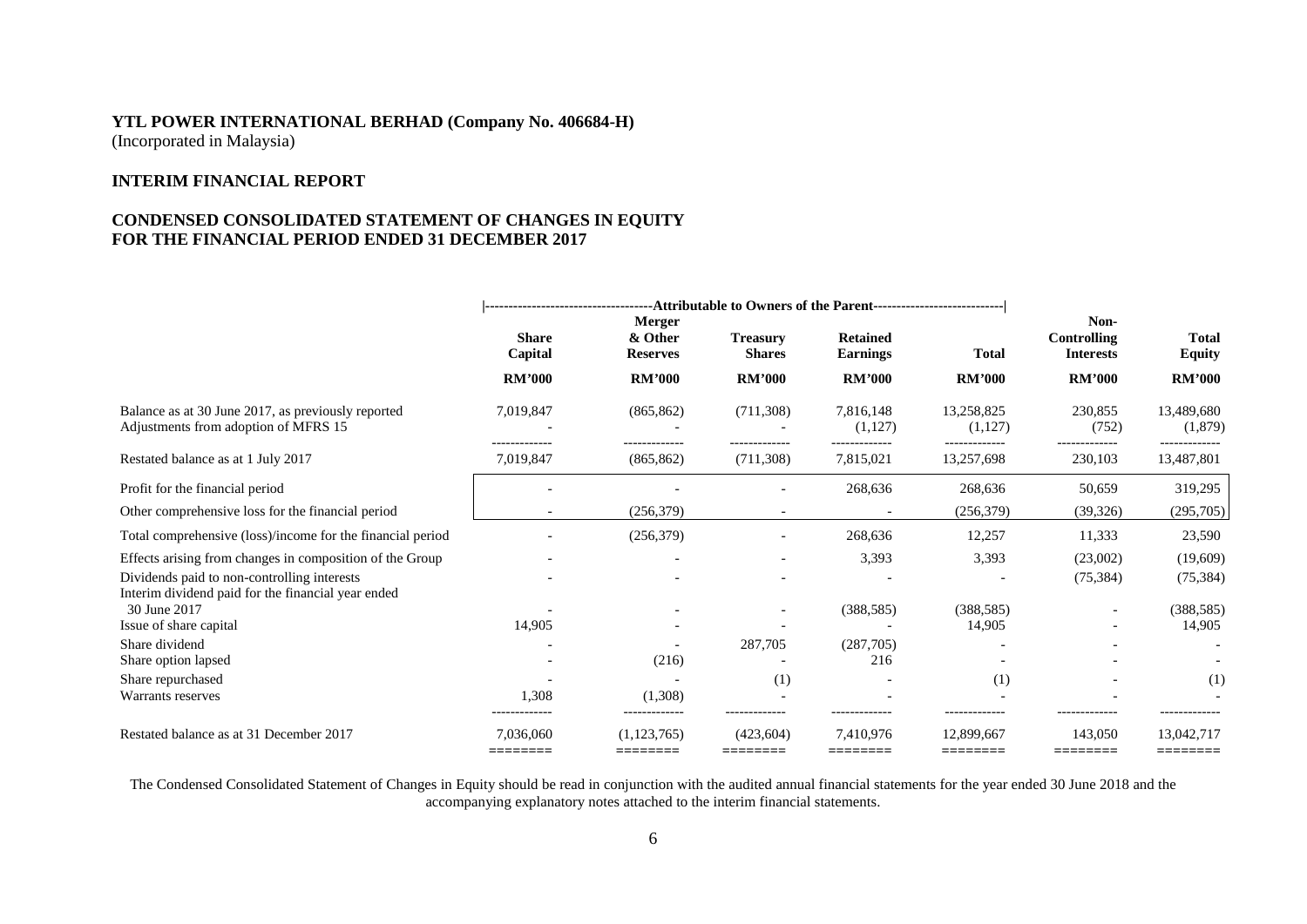## **INTERIM FINANCIAL REPORT**

## **CONDENSED CONSOLIDATED STATEMENT OF CHANGES IN EQUITY FOR THE FINANCIAL PERIOD ENDED 31 DECEMBER 2017**

|                                                                                                   | ------------------------------------Attributable to Owners of the Parent--------------------------- |                          |                                                                        |                       |                             |                                                |                               |
|---------------------------------------------------------------------------------------------------|-----------------------------------------------------------------------------------------------------|--------------------------|------------------------------------------------------------------------|-----------------------|-----------------------------|------------------------------------------------|-------------------------------|
|                                                                                                   | <b>Merger</b><br><b>Share</b><br>& Other<br>Capital<br><b>Reserves</b>                              |                          | <b>Retained</b><br><b>Treasury</b><br><b>Shares</b><br><b>Earnings</b> |                       | <b>Total</b>                | Non-<br><b>Controlling</b><br><b>Interests</b> | <b>Total</b><br><b>Equity</b> |
|                                                                                                   | <b>RM'000</b>                                                                                       | <b>RM'000</b>            | <b>RM'000</b>                                                          | <b>RM'000</b>         | <b>RM'000</b>               | <b>RM'000</b>                                  | <b>RM'000</b>                 |
| Balance as at 30 June 2017, as previously reported<br>Adjustments from adoption of MFRS 15        | 7,019,847                                                                                           | (865, 862)               | (711,308)                                                              | 7,816,148<br>(1,127)  | 13,258,825<br>(1,127)       | 230,855<br>(752)                               | 13,489,680<br>(1,879)         |
| Restated balance as at 1 July 2017                                                                | --------------<br>7,019,847                                                                         | <br>(865, 862)           | -------------<br>(711,308)                                             | 7,815,021             | -------------<br>13,257,698 | -------------<br>230,103                       | -------------<br>13,487,801   |
| Profit for the financial period                                                                   |                                                                                                     |                          |                                                                        | 268,636               | 268,636                     | 50,659                                         | 319,295                       |
| Other comprehensive loss for the financial period                                                 |                                                                                                     | (256, 379)               |                                                                        |                       | (256,379)                   | (39, 326)                                      | (295,705)                     |
| Total comprehensive (loss)/income for the financial period                                        |                                                                                                     | (256, 379)               |                                                                        | 268,636               | 12,257                      | 11,333                                         | 23,590                        |
| Effects arising from changes in composition of the Group                                          |                                                                                                     |                          |                                                                        | 3,393                 | 3,393                       | (23,002)                                       | (19,609)                      |
| Dividends paid to non-controlling interests<br>Interim dividend paid for the financial year ended |                                                                                                     |                          |                                                                        |                       |                             | (75, 384)                                      | (75, 384)                     |
| 30 June 2017                                                                                      |                                                                                                     |                          |                                                                        | (388, 585)            | (388, 585)                  |                                                | (388, 585)                    |
| Issue of share capital                                                                            | 14,905                                                                                              |                          |                                                                        |                       | 14,905                      |                                                | 14,905                        |
| Share dividend                                                                                    |                                                                                                     |                          | 287,705                                                                | (287,705)             |                             |                                                |                               |
| Share option lapsed                                                                               |                                                                                                     | (216)                    |                                                                        | 216                   |                             |                                                |                               |
| Share repurchased                                                                                 |                                                                                                     |                          | (1)                                                                    |                       | (1)                         |                                                | (1)                           |
| Warrants reserves                                                                                 | 1,308<br>-------------                                                                              | (1,308)<br>------------- |                                                                        |                       |                             |                                                |                               |
| Restated balance as at 31 December 2017                                                           | 7.036.060<br>========                                                                               | (1.123.765)<br>========  | (423.604)<br>========                                                  | 7.410.976<br>======== | 12.899.667<br>========      | 143,050<br>========                            | 13.042.717<br>========        |

The Condensed Consolidated Statement of Changes in Equity should be read in conjunction with the audited annual financial statements for the year ended 30 June 2018 and the accompanying explanatory notes attached to the interim financial statements.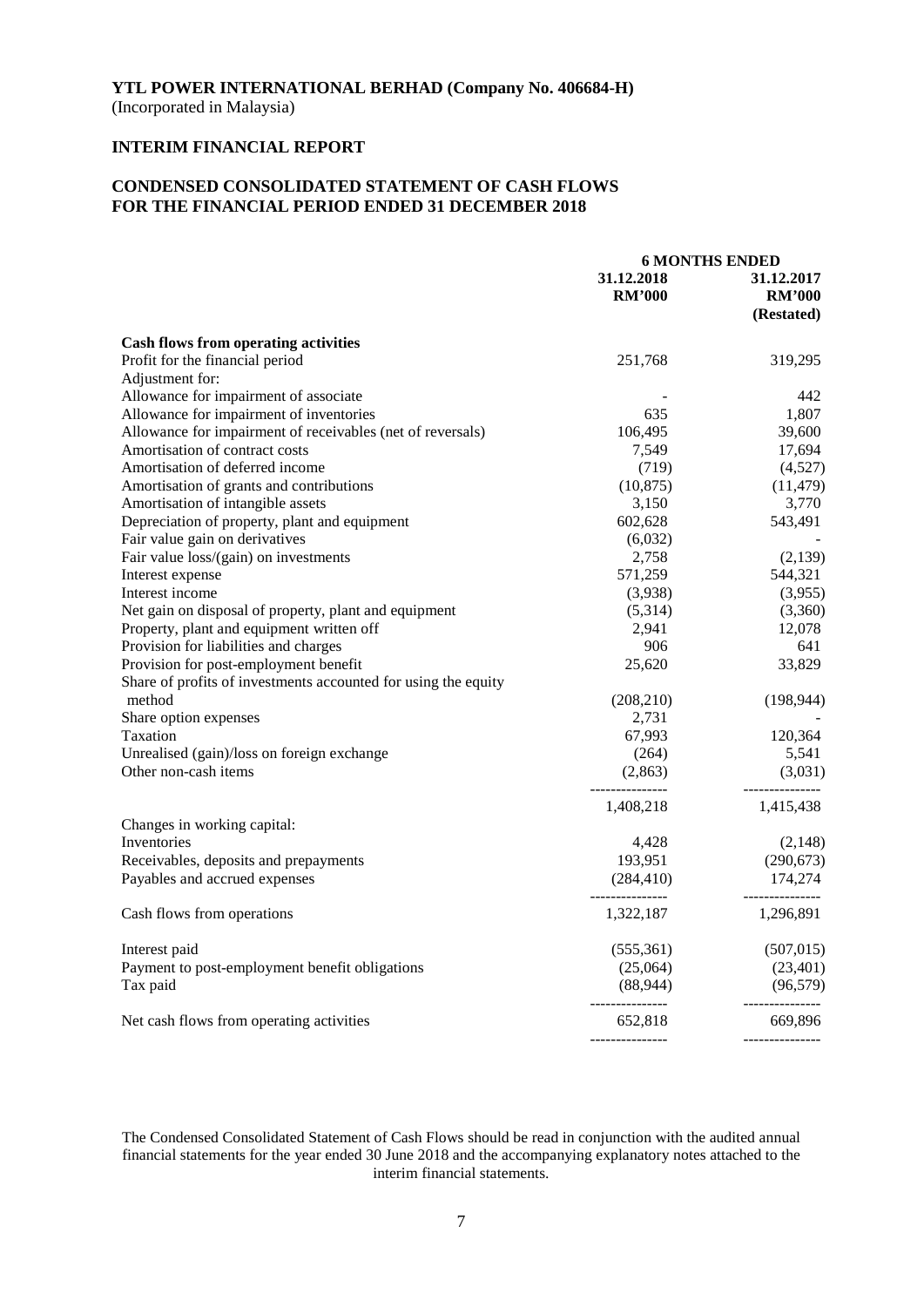(Incorporated in Malaysia)

# **INTERIM FINANCIAL REPORT**

# **CONDENSED CONSOLIDATED STATEMENT OF CASH FLOWS FOR THE FINANCIAL PERIOD ENDED 31 DECEMBER 2018**

|                                                                |               | <b>6 MONTHS ENDED</b> |
|----------------------------------------------------------------|---------------|-----------------------|
|                                                                | 31.12.2018    | 31.12.2017            |
|                                                                | <b>RM'000</b> | <b>RM'000</b>         |
|                                                                |               | (Restated)            |
| <b>Cash flows from operating activities</b>                    |               |                       |
| Profit for the financial period                                | 251,768       | 319,295               |
| Adjustment for:                                                |               |                       |
| Allowance for impairment of associate                          |               | 442                   |
| Allowance for impairment of inventories                        | 635           | 1,807                 |
| Allowance for impairment of receivables (net of reversals)     | 106,495       | 39,600                |
| Amortisation of contract costs                                 | 7,549         | 17,694                |
| Amortisation of deferred income                                | (719)         | (4,527)               |
| Amortisation of grants and contributions                       | (10, 875)     | (11, 479)             |
| Amortisation of intangible assets                              | 3,150         | 3,770                 |
| Depreciation of property, plant and equipment                  | 602,628       | 543,491               |
| Fair value gain on derivatives                                 | (6,032)       |                       |
| Fair value loss/(gain) on investments                          | 2,758         | (2,139)               |
| Interest expense                                               | 571,259       | 544,321               |
| Interest income                                                | (3,938)       | (3,955)               |
| Net gain on disposal of property, plant and equipment          | (5,314)       | (3,360)               |
| Property, plant and equipment written off                      | 2,941         | 12,078                |
| Provision for liabilities and charges                          | 906           | 641                   |
| Provision for post-employment benefit                          | 25,620        | 33,829                |
| Share of profits of investments accounted for using the equity |               |                       |
| method                                                         | (208, 210)    | (198, 944)            |
| Share option expenses                                          | 2,731         |                       |
| Taxation                                                       | 67,993        | 120,364               |
| Unrealised (gain)/loss on foreign exchange                     | (264)         | 5,541                 |
| Other non-cash items                                           | (2, 863)      | (3,031)               |
|                                                                |               |                       |
|                                                                | 1,408,218     | 1,415,438             |
| Changes in working capital:                                    |               |                       |
| Inventories                                                    | 4,428         | (2,148)               |
| Receivables, deposits and prepayments                          | 193,951       | (290, 673)            |
| Payables and accrued expenses                                  | (284, 410)    | 174,274               |
|                                                                | 1,322,187     | 1,296,891             |
| Cash flows from operations                                     |               |                       |
| Interest paid                                                  | (555,361)     | (507, 015)            |
| Payment to post-employment benefit obligations                 | (25,064)      | (23, 401)             |
| Tax paid                                                       | (88, 944)     | (96, 579)             |
| Net cash flows from operating activities                       | 652,818       | 669,896               |
|                                                                |               |                       |

The Condensed Consolidated Statement of Cash Flows should be read in conjunction with the audited annual financial statements for the year ended 30 June 2018 and the accompanying explanatory notes attached to the interim financial statements.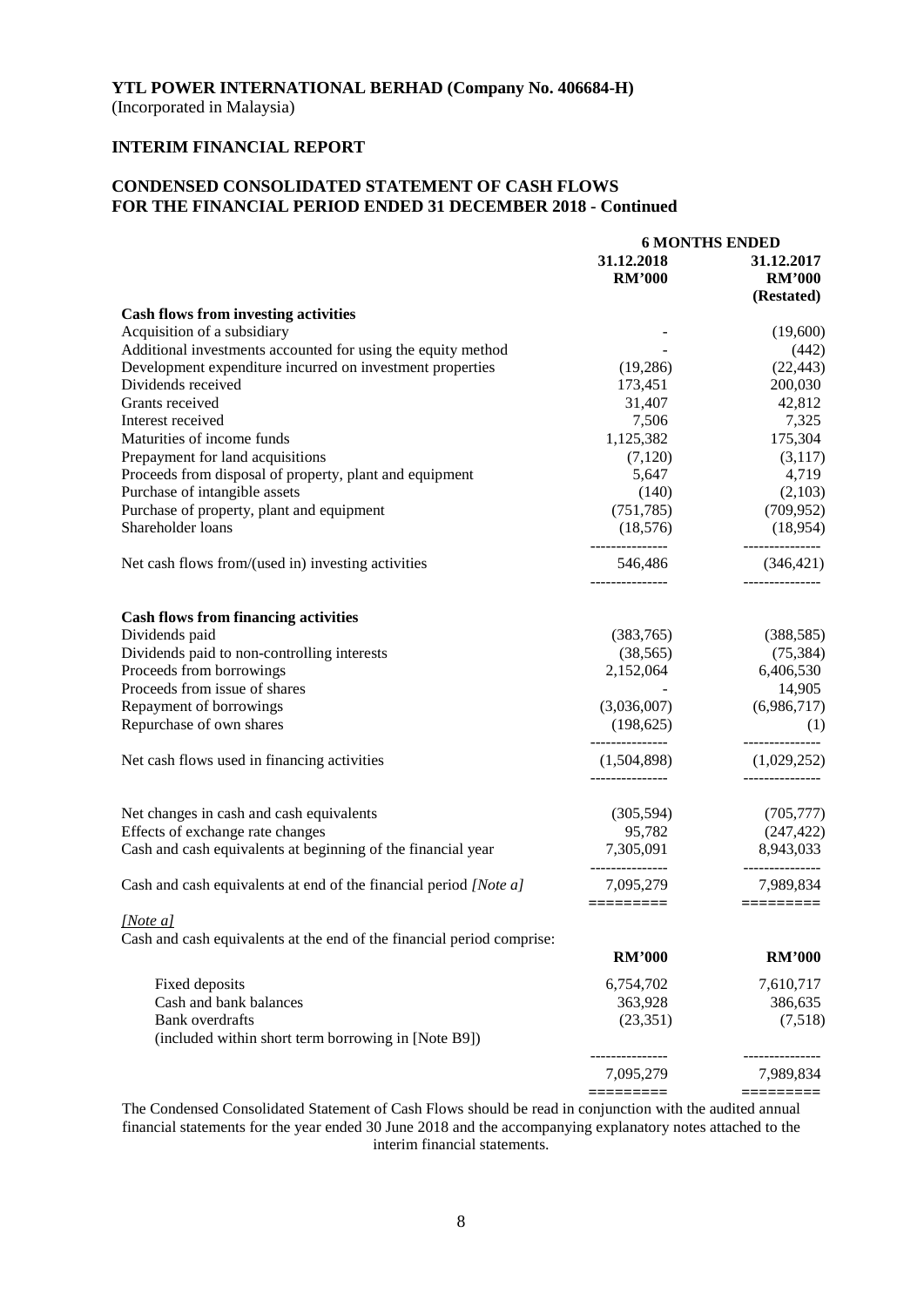(Incorporated in Malaysia)

# **INTERIM FINANCIAL REPORT**

# **CONDENSED CONSOLIDATED STATEMENT OF CASH FLOWS FOR THE FINANCIAL PERIOD ENDED 31 DECEMBER 2018 - Continued**

|                                                                                    |                                | <b>6 MONTHS ENDED</b>          |
|------------------------------------------------------------------------------------|--------------------------------|--------------------------------|
|                                                                                    | 31.12.2018                     | 31.12.2017                     |
|                                                                                    | <b>RM'000</b>                  | <b>RM'000</b>                  |
|                                                                                    |                                | (Restated)                     |
| <b>Cash flows from investing activities</b>                                        |                                |                                |
| Acquisition of a subsidiary                                                        |                                | (19,600)                       |
| Additional investments accounted for using the equity method                       |                                | (442)                          |
| Development expenditure incurred on investment properties                          | (19,286)                       | (22, 443)                      |
| Dividends received                                                                 | 173,451                        | 200,030                        |
| Grants received                                                                    | 31,407                         | 42,812                         |
| Interest received                                                                  | 7,506                          | 7,325                          |
| Maturities of income funds                                                         | 1,125,382                      | 175,304                        |
|                                                                                    |                                |                                |
| Prepayment for land acquisitions                                                   | (7,120)                        | (3,117)                        |
| Proceeds from disposal of property, plant and equipment                            | 5,647                          | 4,719                          |
| Purchase of intangible assets                                                      | (140)                          | (2,103)                        |
| Purchase of property, plant and equipment                                          | (751, 785)                     | (709, 952)                     |
| Shareholder loans                                                                  | (18, 576)<br>---------------   | (18,954)<br>-------------      |
| Net cash flows from/(used in) investing activities                                 | 546,486<br>_______________     | (346, 421)<br>_______________  |
|                                                                                    |                                |                                |
| <b>Cash flows from financing activities</b>                                        |                                |                                |
| Dividends paid                                                                     | (383,765)                      | (388, 585)                     |
| Dividends paid to non-controlling interests                                        | (38, 565)                      | (75, 384)                      |
| Proceeds from borrowings                                                           | 2,152,064                      | 6,406,530                      |
| Proceeds from issue of shares                                                      |                                | 14,905                         |
| Repayment of borrowings                                                            | (3,036,007)                    | (6,986,717)                    |
| Repurchase of own shares                                                           | (198, 625)                     | (1)                            |
| Net cash flows used in financing activities                                        | ---------------<br>(1,504,898) | ---------------<br>(1,029,252) |
|                                                                                    |                                |                                |
| Net changes in cash and cash equivalents                                           | (305, 594)                     | (705, 777)                     |
| Effects of exchange rate changes                                                   | 95,782                         | (247, 422)                     |
| Cash and cash equivalents at beginning of the financial year                       | 7,305,091<br>_______________   | 8,943,033<br>--------------    |
| Cash and cash equivalents at end of the financial period [Note a]                  | 7,095,279                      | 7,989,834                      |
|                                                                                    | =========                      |                                |
| [Note a]<br>Cash and cash equivalents at the end of the financial period comprise: |                                |                                |
|                                                                                    | <b>RM'000</b>                  | <b>RM'000</b>                  |
| Fixed deposits                                                                     | 6,754,702                      | 7,610,717                      |
| Cash and bank balances                                                             | 363,928                        | 386,635                        |
| <b>Bank</b> overdrafts                                                             | (23, 351)                      | (7,518)                        |
| (included within short term borrowing in [Note B9])                                |                                |                                |
|                                                                                    | 7,095,279                      | -----------<br>7,989,834       |
|                                                                                    | =========                      | =========                      |

The Condensed Consolidated Statement of Cash Flows should be read in conjunction with the audited annual financial statements for the year ended 30 June 2018 and the accompanying explanatory notes attached to the interim financial statements.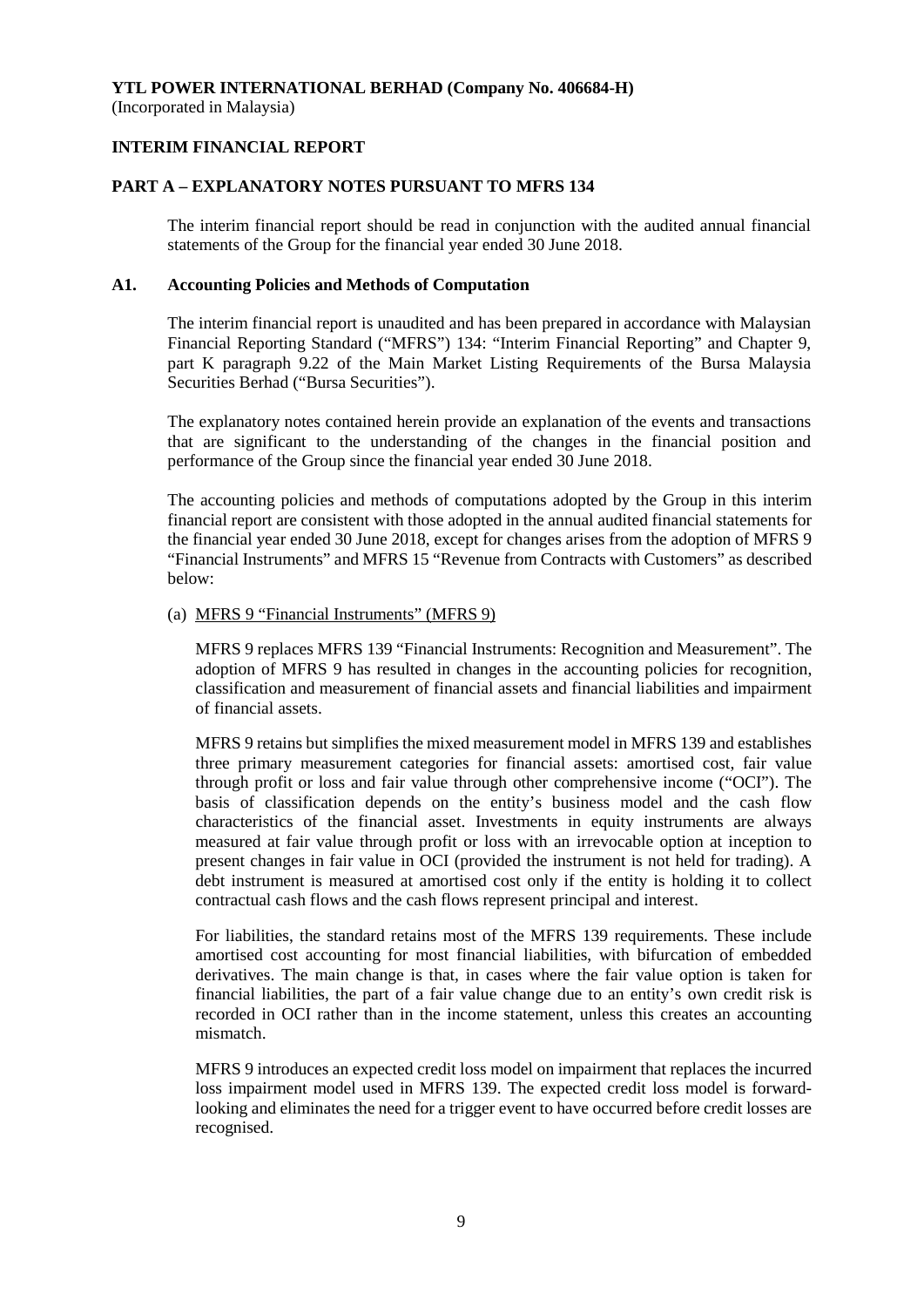(Incorporated in Malaysia)

## **INTERIM FINANCIAL REPORT**

## **PART A – EXPLANATORY NOTES PURSUANT TO MFRS 134**

The interim financial report should be read in conjunction with the audited annual financial statements of the Group for the financial year ended 30 June 2018.

## **A1. Accounting Policies and Methods of Computation**

The interim financial report is unaudited and has been prepared in accordance with Malaysian Financial Reporting Standard ("MFRS") 134: "Interim Financial Reporting" and Chapter 9, part K paragraph 9.22 of the Main Market Listing Requirements of the Bursa Malaysia Securities Berhad ("Bursa Securities").

The explanatory notes contained herein provide an explanation of the events and transactions that are significant to the understanding of the changes in the financial position and performance of the Group since the financial year ended 30 June 2018.

The accounting policies and methods of computations adopted by the Group in this interim financial report are consistent with those adopted in the annual audited financial statements for the financial year ended 30 June 2018, except for changes arises from the adoption of MFRS 9 "Financial Instruments" and MFRS 15 "Revenue from Contracts with Customers" as described below:

#### (a) MFRS 9 "Financial Instruments" (MFRS 9)

MFRS 9 replaces MFRS 139 "Financial Instruments: Recognition and Measurement". The adoption of MFRS 9 has resulted in changes in the accounting policies for recognition, classification and measurement of financial assets and financial liabilities and impairment of financial assets.

MFRS 9 retains but simplifies the mixed measurement model in MFRS 139 and establishes three primary measurement categories for financial assets: amortised cost, fair value through profit or loss and fair value through other comprehensive income ("OCI"). The basis of classification depends on the entity's business model and the cash flow characteristics of the financial asset. Investments in equity instruments are always measured at fair value through profit or loss with an irrevocable option at inception to present changes in fair value in OCI (provided the instrument is not held for trading). A debt instrument is measured at amortised cost only if the entity is holding it to collect contractual cash flows and the cash flows represent principal and interest.

For liabilities, the standard retains most of the MFRS 139 requirements. These include amortised cost accounting for most financial liabilities, with bifurcation of embedded derivatives. The main change is that, in cases where the fair value option is taken for financial liabilities, the part of a fair value change due to an entity's own credit risk is recorded in OCI rather than in the income statement, unless this creates an accounting mismatch.

MFRS 9 introduces an expected credit loss model on impairment that replaces the incurred loss impairment model used in MFRS 139. The expected credit loss model is forwardlooking and eliminates the need for a trigger event to have occurred before credit losses are recognised.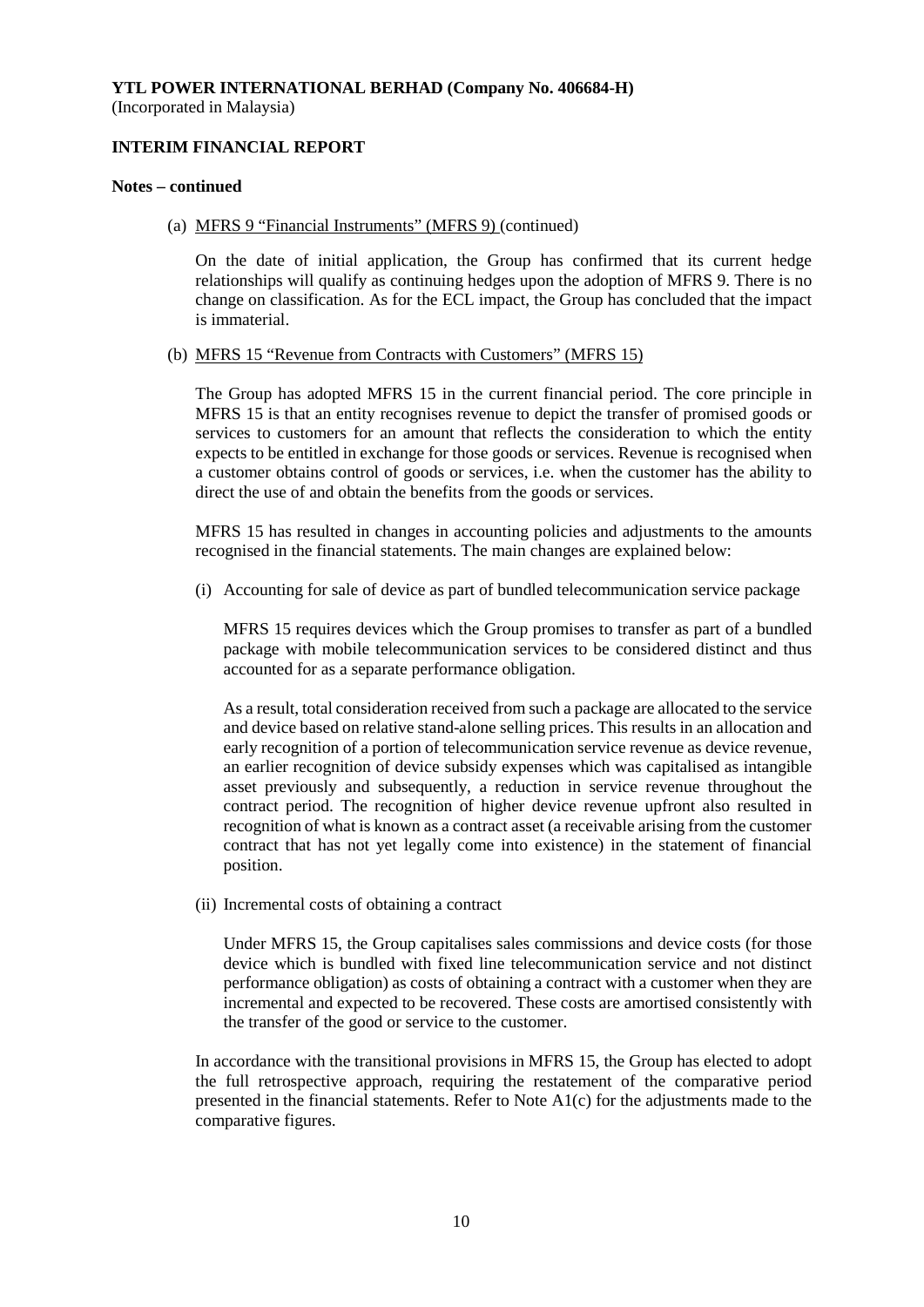**INTERIM FINANCIAL REPORT**

#### **Notes – continued**

(a) MFRS 9 "Financial Instruments" (MFRS 9) (continued)

On the date of initial application, the Group has confirmed that its current hedge relationships will qualify as continuing hedges upon the adoption of MFRS 9. There is no change on classification. As for the ECL impact, the Group has concluded that the impact is immaterial.

#### (b) MFRS 15 "Revenue from Contracts with Customers" (MFRS 15)

The Group has adopted MFRS 15 in the current financial period. The core principle in MFRS 15 is that an entity recognises revenue to depict the transfer of promised goods or services to customers for an amount that reflects the consideration to which the entity expects to be entitled in exchange for those goods or services. Revenue is recognised when a customer obtains control of goods or services, i.e. when the customer has the ability to direct the use of and obtain the benefits from the goods or services.

MFRS 15 has resulted in changes in accounting policies and adjustments to the amounts recognised in the financial statements. The main changes are explained below:

(i) Accounting for sale of device as part of bundled telecommunication service package

MFRS 15 requires devices which the Group promises to transfer as part of a bundled package with mobile telecommunication services to be considered distinct and thus accounted for as a separate performance obligation.

As a result, total consideration received from such a package are allocated to the service and device based on relative stand-alone selling prices. This results in an allocation and early recognition of a portion of telecommunication service revenue as device revenue, an earlier recognition of device subsidy expenses which was capitalised as intangible asset previously and subsequently, a reduction in service revenue throughout the contract period. The recognition of higher device revenue upfront also resulted in recognition of what is known as a contract asset (a receivable arising from the customer contract that has not yet legally come into existence) in the statement of financial position.

(ii) Incremental costs of obtaining a contract

Under MFRS 15, the Group capitalises sales commissions and device costs (for those device which is bundled with fixed line telecommunication service and not distinct performance obligation) as costs of obtaining a contract with a customer when they are incremental and expected to be recovered. These costs are amortised consistently with the transfer of the good or service to the customer.

In accordance with the transitional provisions in MFRS 15, the Group has elected to adopt the full retrospective approach, requiring the restatement of the comparative period presented in the financial statements. Refer to Note  $A1(c)$  for the adjustments made to the comparative figures.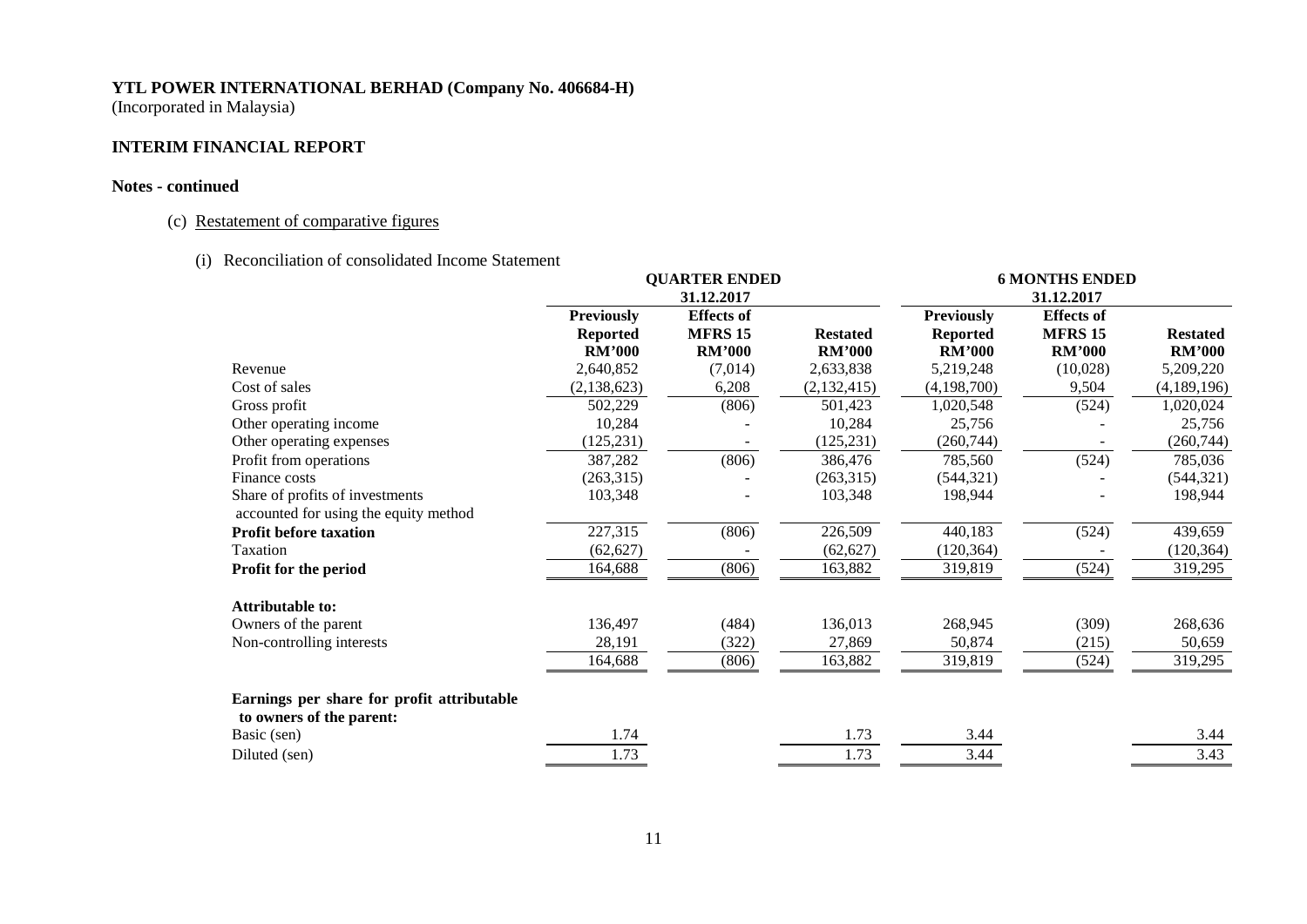(Incorporated in Malaysia)

# **INTERIM FINANCIAL REPORT**

## **Notes - continued**

# (c) Restatement of comparative figures

(i) Reconciliation of consolidated Income Statement

|                                                                        | <b>QUARTER ENDED</b><br>31.12.2017 |                   |                 | <b>6 MONTHS ENDED</b> |                   |                 |  |
|------------------------------------------------------------------------|------------------------------------|-------------------|-----------------|-----------------------|-------------------|-----------------|--|
|                                                                        |                                    |                   |                 |                       | 31.12.2017        |                 |  |
|                                                                        | <b>Previously</b>                  | <b>Effects</b> of |                 | <b>Previously</b>     | <b>Effects</b> of |                 |  |
|                                                                        | <b>Reported</b>                    | <b>MFRS 15</b>    | <b>Restated</b> | <b>Reported</b>       | <b>MFRS 15</b>    | <b>Restated</b> |  |
|                                                                        | <b>RM'000</b>                      | <b>RM'000</b>     | <b>RM'000</b>   | <b>RM'000</b>         | <b>RM'000</b>     | <b>RM'000</b>   |  |
| Revenue                                                                | 2,640,852                          | (7,014)           | 2,633,838       | 5,219,248             | (10,028)          | 5,209,220       |  |
| Cost of sales                                                          | (2, 138, 623)                      | 6,208             | (2,132,415)     | (4,198,700)           | 9,504             | (4,189,196)     |  |
| Gross profit                                                           | 502,229                            | (806)             | 501,423         | 1,020,548             | (524)             | 1,020,024       |  |
| Other operating income                                                 | 10,284                             |                   | 10,284          | 25,756                |                   | 25,756          |  |
| Other operating expenses                                               | (125, 231)                         |                   | (125, 231)      | (260, 744)            |                   | (260, 744)      |  |
| Profit from operations                                                 | 387,282                            | (806)             | 386,476         | 785,560               | (524)             | 785,036         |  |
| Finance costs                                                          | (263,315)                          |                   | (263,315)       | (544, 321)            |                   | (544, 321)      |  |
| Share of profits of investments                                        | 103,348                            |                   | 103,348         | 198,944               |                   | 198,944         |  |
| accounted for using the equity method                                  |                                    |                   |                 |                       |                   |                 |  |
| <b>Profit before taxation</b>                                          | 227,315                            | (806)             | 226,509         | 440,183               | (524)             | 439,659         |  |
| Taxation                                                               | (62, 627)                          |                   | (62, 627)       | (120, 364)            |                   | (120, 364)      |  |
| Profit for the period                                                  | 164,688                            | (806)             | 163,882         | 319,819               | (524)             | 319,295         |  |
| <b>Attributable to:</b>                                                |                                    |                   |                 |                       |                   |                 |  |
| Owners of the parent                                                   | 136,497                            | (484)             | 136,013         | 268,945               | (309)             | 268,636         |  |
| Non-controlling interests                                              | 28,191                             | (322)             | 27,869          | 50,874                | (215)             | 50,659          |  |
|                                                                        | 164,688                            | (806)             | 163,882         | 319,819               | (524)             | 319,295         |  |
| Earnings per share for profit attributable<br>to owners of the parent: |                                    |                   |                 |                       |                   |                 |  |
| Basic (sen)                                                            | 1.74                               |                   | 1.73            | 3.44                  |                   | 3.44            |  |
| Diluted (sen)                                                          | 1.73                               |                   | 1.73            | 3.44                  |                   | 3.43            |  |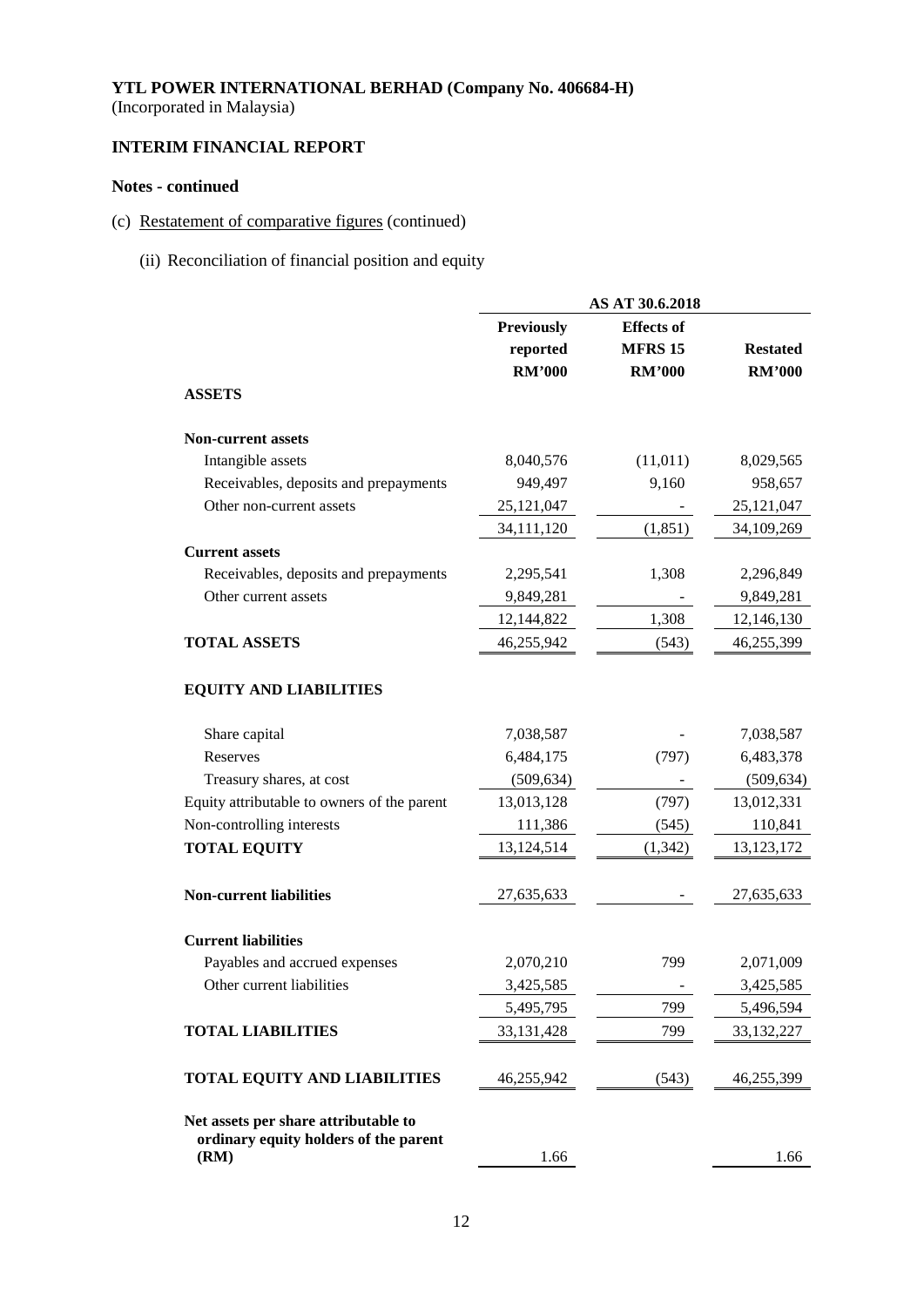# **INTERIM FINANCIAL REPORT**

# **Notes - continued**

- (c) Restatement of comparative figures (continued)
	- (ii) Reconciliation of financial position and equity

|                                                                               | AS AT 30.6.2018               |                                     |                 |  |
|-------------------------------------------------------------------------------|-------------------------------|-------------------------------------|-----------------|--|
|                                                                               | <b>Previously</b><br>reported | <b>Effects</b> of<br><b>MFRS 15</b> | <b>Restated</b> |  |
| <b>ASSETS</b>                                                                 | <b>RM'000</b>                 | <b>RM'000</b>                       | <b>RM'000</b>   |  |
|                                                                               |                               |                                     |                 |  |
| <b>Non-current assets</b>                                                     |                               |                                     |                 |  |
| Intangible assets                                                             | 8,040,576                     | (11, 011)                           | 8,029,565       |  |
| Receivables, deposits and prepayments                                         | 949,497                       | 9,160                               | 958,657         |  |
| Other non-current assets                                                      | 25,121,047                    |                                     | 25, 121, 047    |  |
|                                                                               | 34,111,120                    | (1, 851)                            | 34,109,269      |  |
| <b>Current assets</b>                                                         |                               |                                     |                 |  |
| Receivables, deposits and prepayments                                         | 2,295,541                     | 1,308                               | 2,296,849       |  |
| Other current assets                                                          | 9,849,281                     |                                     | 9,849,281       |  |
|                                                                               | 12,144,822                    | 1,308                               | 12,146,130      |  |
| <b>TOTAL ASSETS</b>                                                           | 46,255,942                    | (543)                               | 46,255,399      |  |
| <b>EQUITY AND LIABILITIES</b>                                                 |                               |                                     |                 |  |
| Share capital                                                                 | 7,038,587                     |                                     | 7,038,587       |  |
| Reserves                                                                      | 6,484,175                     | (797)                               | 6,483,378       |  |
| Treasury shares, at cost                                                      | (509, 634)                    |                                     | (509, 634)      |  |
| Equity attributable to owners of the parent                                   | 13,013,128                    | (797)                               | 13,012,331      |  |
| Non-controlling interests                                                     | 111,386                       | (545)                               | 110,841         |  |
| <b>TOTAL EQUITY</b>                                                           | 13,124,514                    | (1, 342)                            | 13, 123, 172    |  |
| <b>Non-current liabilities</b>                                                | 27,635,633                    |                                     | 27,635,633      |  |
| <b>Current liabilities</b>                                                    |                               |                                     |                 |  |
| Payables and accrued expenses                                                 | 2,070,210                     | 799                                 | 2,071,009       |  |
| Other current liabilities                                                     | 3,425,585                     |                                     | 3,425,585       |  |
|                                                                               | 5,495,795                     | 799                                 | 5,496,594       |  |
| <b>TOTAL LIABILITIES</b>                                                      | 33, 131, 428                  | 799                                 | 33,132,227      |  |
| <b>TOTAL EQUITY AND LIABILITIES</b>                                           | 46,255,942                    | (543)                               | 46,255,399      |  |
| Net assets per share attributable to<br>ordinary equity holders of the parent |                               |                                     |                 |  |
| (RM)                                                                          | 1.66                          |                                     | 1.66            |  |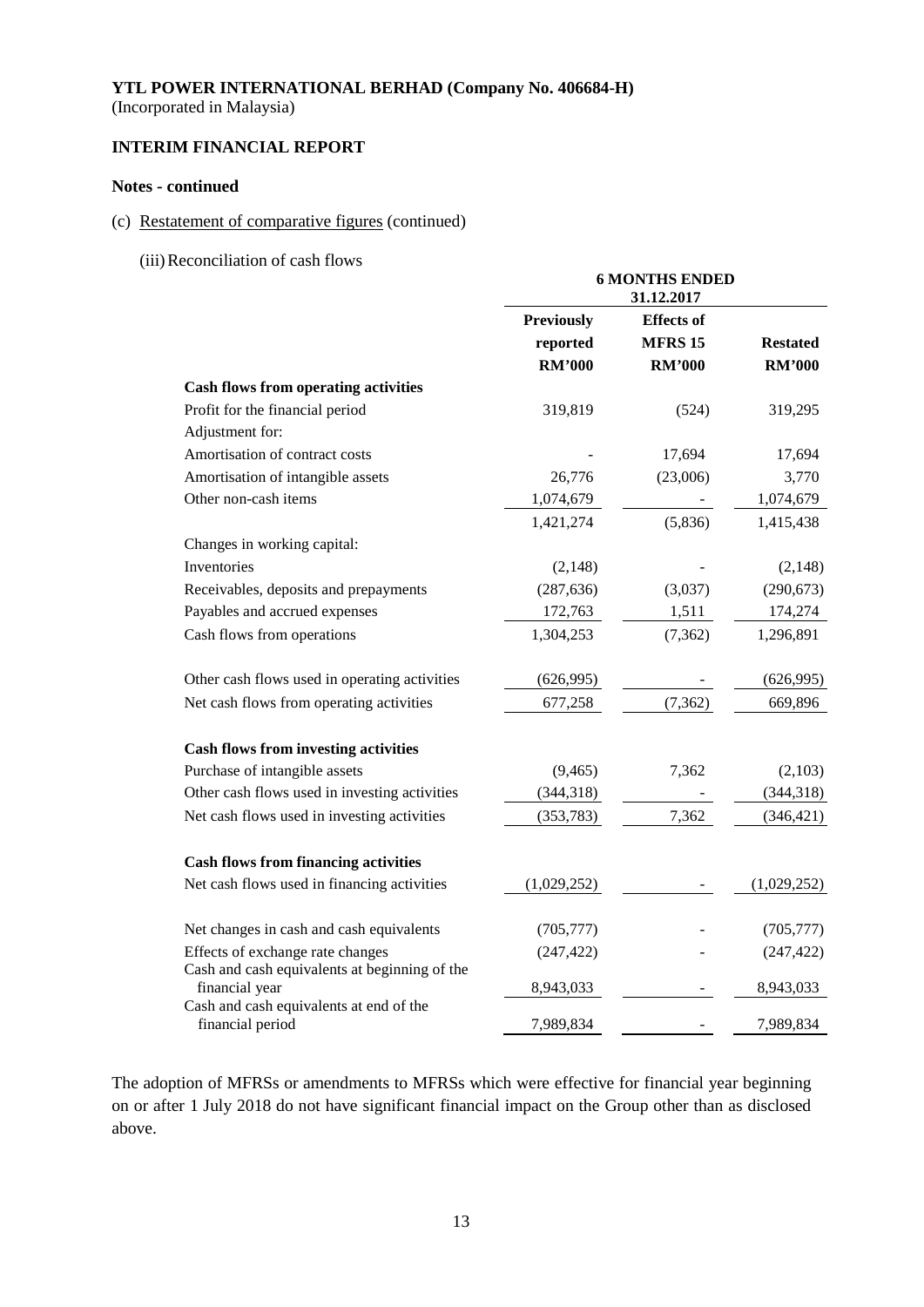(Incorporated in Malaysia)

# **INTERIM FINANCIAL REPORT**

## **Notes - continued**

# (c) Restatement of comparative figures (continued)

(iii)Reconciliation of cash flows

|                                                             | <b>6 MONTHS ENDED</b><br>31.12.2017 |                   |                 |  |
|-------------------------------------------------------------|-------------------------------------|-------------------|-----------------|--|
|                                                             | <b>Previously</b>                   | <b>Effects</b> of |                 |  |
|                                                             | reported                            | <b>MFRS 15</b>    | <b>Restated</b> |  |
|                                                             | <b>RM'000</b>                       | <b>RM'000</b>     | <b>RM'000</b>   |  |
| <b>Cash flows from operating activities</b>                 |                                     |                   |                 |  |
| Profit for the financial period                             | 319,819                             | (524)             | 319,295         |  |
| Adjustment for:                                             |                                     |                   |                 |  |
| Amortisation of contract costs                              |                                     | 17,694            | 17,694          |  |
| Amortisation of intangible assets                           | 26,776                              | (23,006)          | 3,770           |  |
| Other non-cash items                                        | 1,074,679                           |                   | 1,074,679       |  |
|                                                             | 1,421,274                           | (5,836)           | 1,415,438       |  |
| Changes in working capital:                                 |                                     |                   |                 |  |
| Inventories                                                 | (2,148)                             |                   | (2,148)         |  |
| Receivables, deposits and prepayments                       | (287, 636)                          | (3,037)           | (290, 673)      |  |
| Payables and accrued expenses                               | 172,763                             | 1,511             | 174,274         |  |
| Cash flows from operations                                  | 1,304,253                           | (7, 362)          | 1,296,891       |  |
| Other cash flows used in operating activities               | (626,995)                           |                   | (626, 995)      |  |
| Net cash flows from operating activities                    | 677,258                             | (7, 362)          | 669,896         |  |
| <b>Cash flows from investing activities</b>                 |                                     |                   |                 |  |
| Purchase of intangible assets                               | (9, 465)                            | 7,362             | (2,103)         |  |
| Other cash flows used in investing activities               | (344, 318)                          |                   | (344, 318)      |  |
| Net cash flows used in investing activities                 | (353, 783)                          | 7,362             | (346, 421)      |  |
| <b>Cash flows from financing activities</b>                 |                                     |                   |                 |  |
| Net cash flows used in financing activities                 | (1,029,252)                         |                   | (1,029,252)     |  |
| Net changes in cash and cash equivalents                    | (705, 777)                          |                   | (705, 777)      |  |
| Effects of exchange rate changes                            | (247, 422)                          |                   | (247, 422)      |  |
| Cash and cash equivalents at beginning of the               |                                     |                   |                 |  |
| financial year                                              | 8,943,033                           |                   | 8,943,033       |  |
| Cash and cash equivalents at end of the<br>financial period | 7,989,834                           |                   | 7,989,834       |  |

The adoption of MFRSs or amendments to MFRSs which were effective for financial year beginning on or after 1 July 2018 do not have significant financial impact on the Group other than as disclosed above.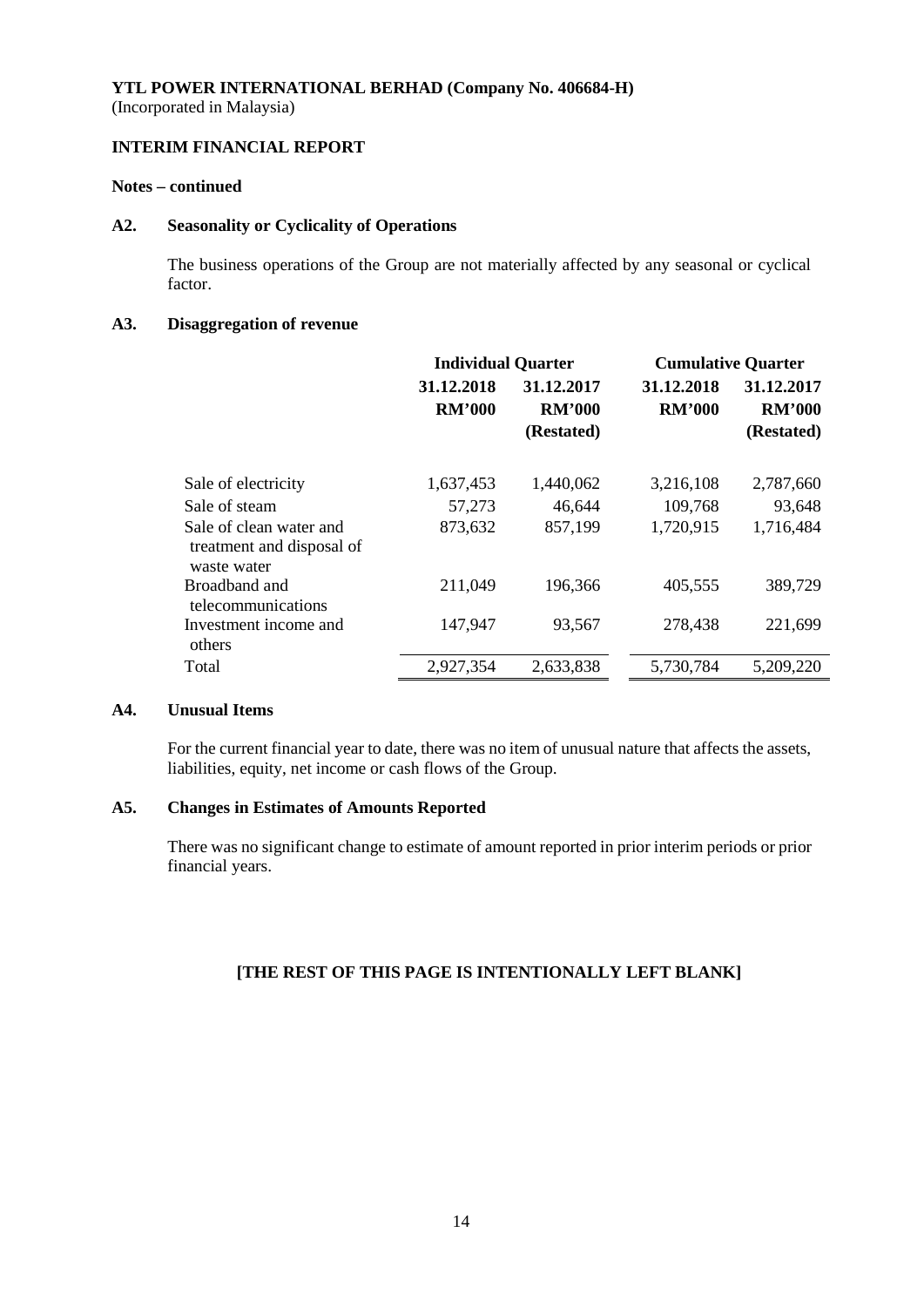## **INTERIM FINANCIAL REPORT**

#### **Notes – continued**

#### **A2. Seasonality or Cyclicality of Operations**

The business operations of the Group are not materially affected by any seasonal or cyclical factor.

## **A3. Disaggregation of revenue**

|                                                                     | <b>Individual Quarter</b>   |                                           |                             | <b>Cumulative Quarter</b>                 |
|---------------------------------------------------------------------|-----------------------------|-------------------------------------------|-----------------------------|-------------------------------------------|
|                                                                     | 31.12.2018<br><b>RM'000</b> | 31.12.2017<br><b>RM'000</b><br>(Restated) | 31.12.2018<br><b>RM'000</b> | 31.12.2017<br><b>RM'000</b><br>(Restated) |
| Sale of electricity                                                 | 1,637,453                   | 1,440,062                                 | 3,216,108                   | 2,787,660                                 |
| Sale of steam                                                       | 57,273                      | 46,644                                    | 109,768                     | 93,648                                    |
| Sale of clean water and<br>treatment and disposal of<br>waste water | 873,632                     | 857,199                                   | 1,720,915                   | 1,716,484                                 |
| Broadband and<br>telecommunications                                 | 211,049                     | 196,366                                   | 405,555                     | 389,729                                   |
| Investment income and<br>others                                     | 147,947                     | 93,567                                    | 278,438                     | 221,699                                   |
| Total                                                               | 2,927,354                   | 2,633,838                                 | 5,730,784                   | 5,209,220                                 |

## **A4. Unusual Items**

For the current financial year to date, there was no item of unusual nature that affects the assets, liabilities, equity, net income or cash flows of the Group.

## **A5. Changes in Estimates of Amounts Reported**

There was no significant change to estimate of amount reported in prior interim periods or prior financial years.

# **[THE REST OF THIS PAGE IS INTENTIONALLY LEFT BLANK]**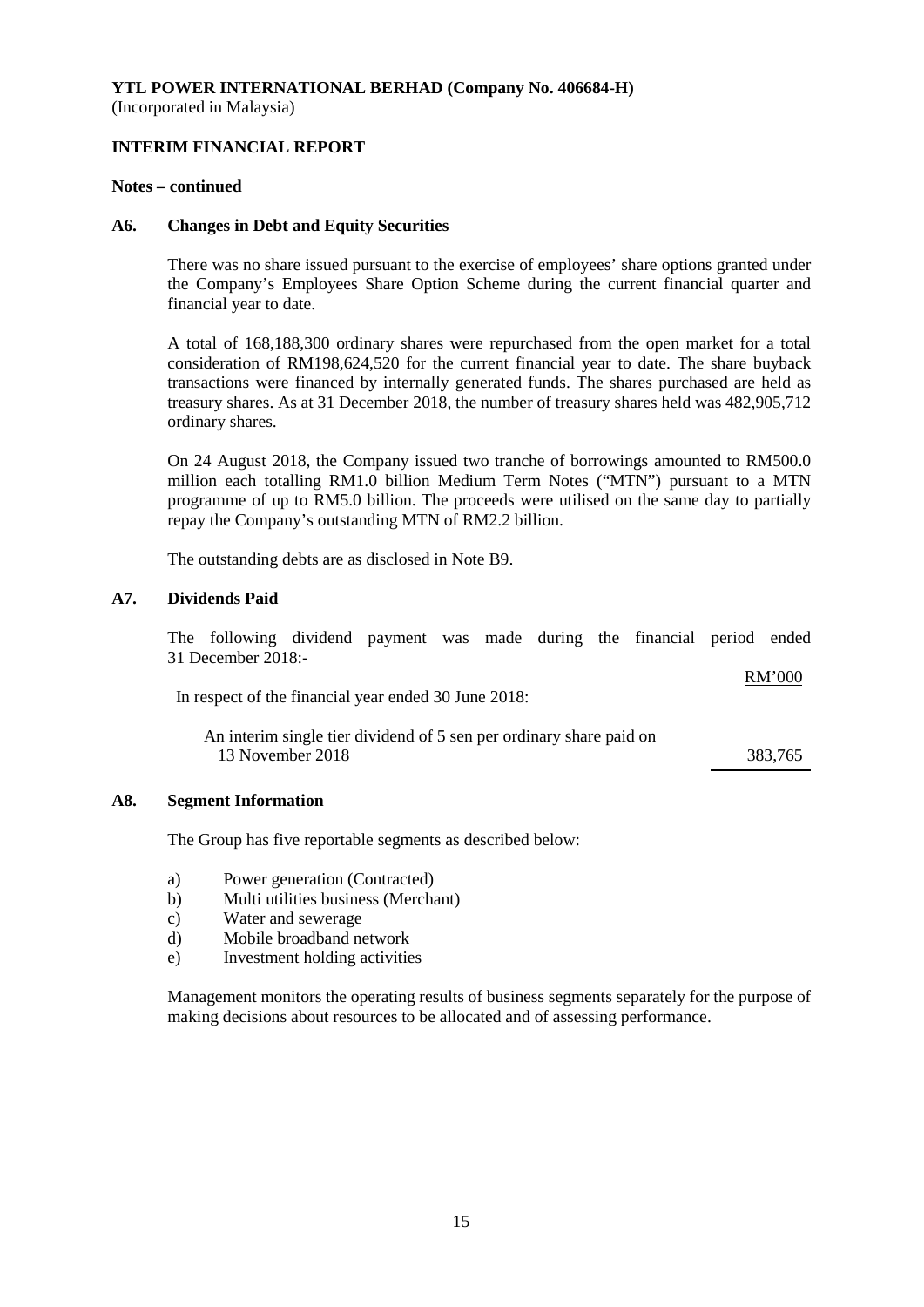# **INTERIM FINANCIAL REPORT**

#### **Notes – continued**

#### **A6. Changes in Debt and Equity Securities**

There was no share issued pursuant to the exercise of employees' share options granted under the Company's Employees Share Option Scheme during the current financial quarter and financial year to date.

A total of 168,188,300 ordinary shares were repurchased from the open market for a total consideration of RM198,624,520 for the current financial year to date. The share buyback transactions were financed by internally generated funds. The shares purchased are held as treasury shares. As at 31 December 2018, the number of treasury shares held was 482,905,712 ordinary shares.

On 24 August 2018, the Company issued two tranche of borrowings amounted to RM500.0 million each totalling RM1.0 billion Medium Term Notes ("MTN") pursuant to a MTN programme of up to RM5.0 billion. The proceeds were utilised on the same day to partially repay the Company's outstanding MTN of RM2.2 billion.

The outstanding debts are as disclosed in Note B9.

## **A7. Dividends Paid**

The following dividend payment was made during the financial period ended 31 December 2018:-  $BMO0$ 

| In respect of the financial year ended 30 June 2018:                                    | KIVI VVV |
|-----------------------------------------------------------------------------------------|----------|
| An interim single tier dividend of 5 sen per ordinary share paid on<br>13 November 2018 | 383.765  |
|                                                                                         |          |

#### **A8. Segment Information**

The Group has five reportable segments as described below:

- a) Power generation (Contracted)
- b) Multi utilities business (Merchant)
- c) Water and sewerage
- d) Mobile broadband network
- e) Investment holding activities

Management monitors the operating results of business segments separately for the purpose of making decisions about resources to be allocated and of assessing performance.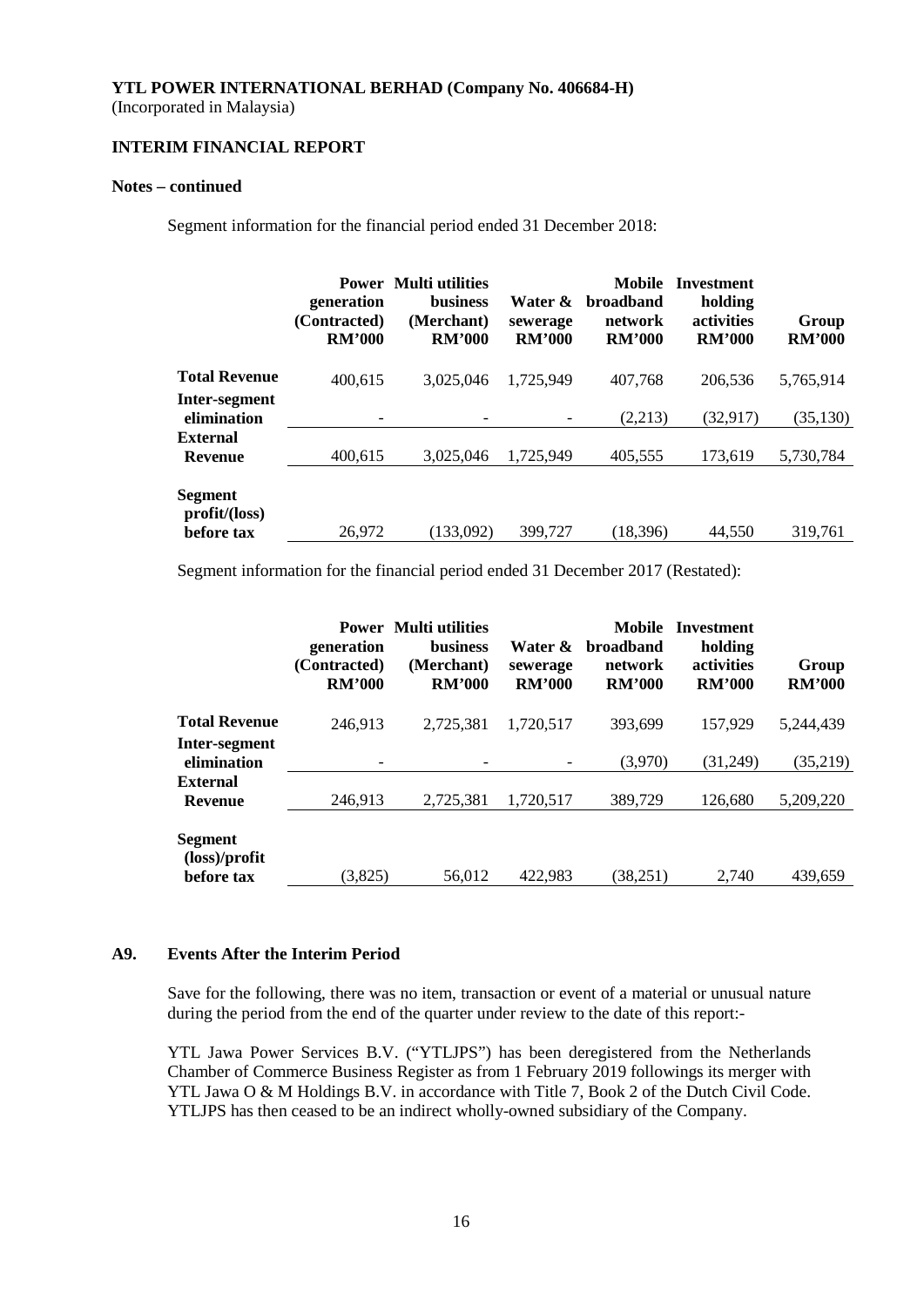(Incorporated in Malaysia)

# **INTERIM FINANCIAL REPORT**

#### **Notes – continued**

Segment information for the financial period ended 31 December 2018:

|                                       | generation<br>(Contracted)<br><b>RM'000</b> | <b>Power</b> Multi utilities<br><b>business</b><br>(Merchant)<br><b>RM'000</b> | Water &<br>sewerage<br><b>RM'000</b> | <b>Mobile</b><br><b>broadband</b><br>network<br><b>RM'000</b> | <b>Investment</b><br>holding<br><b>activities</b><br><b>RM'000</b> | Group<br><b>RM'000</b> |
|---------------------------------------|---------------------------------------------|--------------------------------------------------------------------------------|--------------------------------------|---------------------------------------------------------------|--------------------------------------------------------------------|------------------------|
| <b>Total Revenue</b>                  | 400,615                                     | 3.025.046                                                                      | 1,725,949                            | 407,768                                                       | 206,536                                                            | 5,765,914              |
| Inter-segment<br>elimination          |                                             |                                                                                |                                      | (2,213)                                                       | (32,917)                                                           | (35, 130)              |
| External<br><b>Revenue</b>            | 400,615                                     | 3.025.046                                                                      | 1,725,949                            | 405,555                                                       | 173,619                                                            | 5,730,784              |
| Segment<br>profit/loss)<br>before tax | 26,972                                      | (133,092)                                                                      | 399,727                              | (18,396)                                                      | 44,550                                                             | 319,761                |

Segment information for the financial period ended 31 December 2017 (Restated):

|                                                        | generation<br>(Contracted)<br><b>RM'000</b> | <b>Power</b> Multi utilities<br><b>business</b><br>(Merchant)<br><b>RM'000</b> | Water &<br>sewerage<br><b>RM'000</b> | <b>Mobile</b><br><b>broadband</b><br>network<br><b>RM'000</b> | Investment<br>holding<br>activities<br><b>RM'000</b> | Group<br><b>RM'000</b> |
|--------------------------------------------------------|---------------------------------------------|--------------------------------------------------------------------------------|--------------------------------------|---------------------------------------------------------------|------------------------------------------------------|------------------------|
| <b>Total Revenue</b>                                   | 246,913                                     | 2,725,381                                                                      | 1,720,517                            | 393.699                                                       | 157,929                                              | 5,244,439              |
| Inter-segment<br>elimination                           |                                             |                                                                                |                                      | (3,970)                                                       | (31,249)                                             | (35,219)               |
| <b>External</b><br><b>Revenue</b>                      | 246.913                                     | 2,725,381                                                                      | 1,720,517                            | 389,729                                                       | 126,680                                              | 5,209,220              |
| Segment<br>$(\text{loss})/\text{profit}$<br>before tax | (3,825)                                     | 56,012                                                                         | 422,983                              | (38, 251)                                                     | 2,740                                                | 439,659                |

#### **A9. Events After the Interim Period**

Save for the following, there was no item, transaction or event of a material or unusual nature during the period from the end of the quarter under review to the date of this report:-

YTL Jawa Power Services B.V. ("YTLJPS") has been deregistered from the Netherlands Chamber of Commerce Business Register as from 1 February 2019 followings its merger with YTL Jawa O & M Holdings B.V. in accordance with Title 7, Book 2 of the Dutch Civil Code. YTLJPS has then ceased to be an indirect wholly-owned subsidiary of the Company.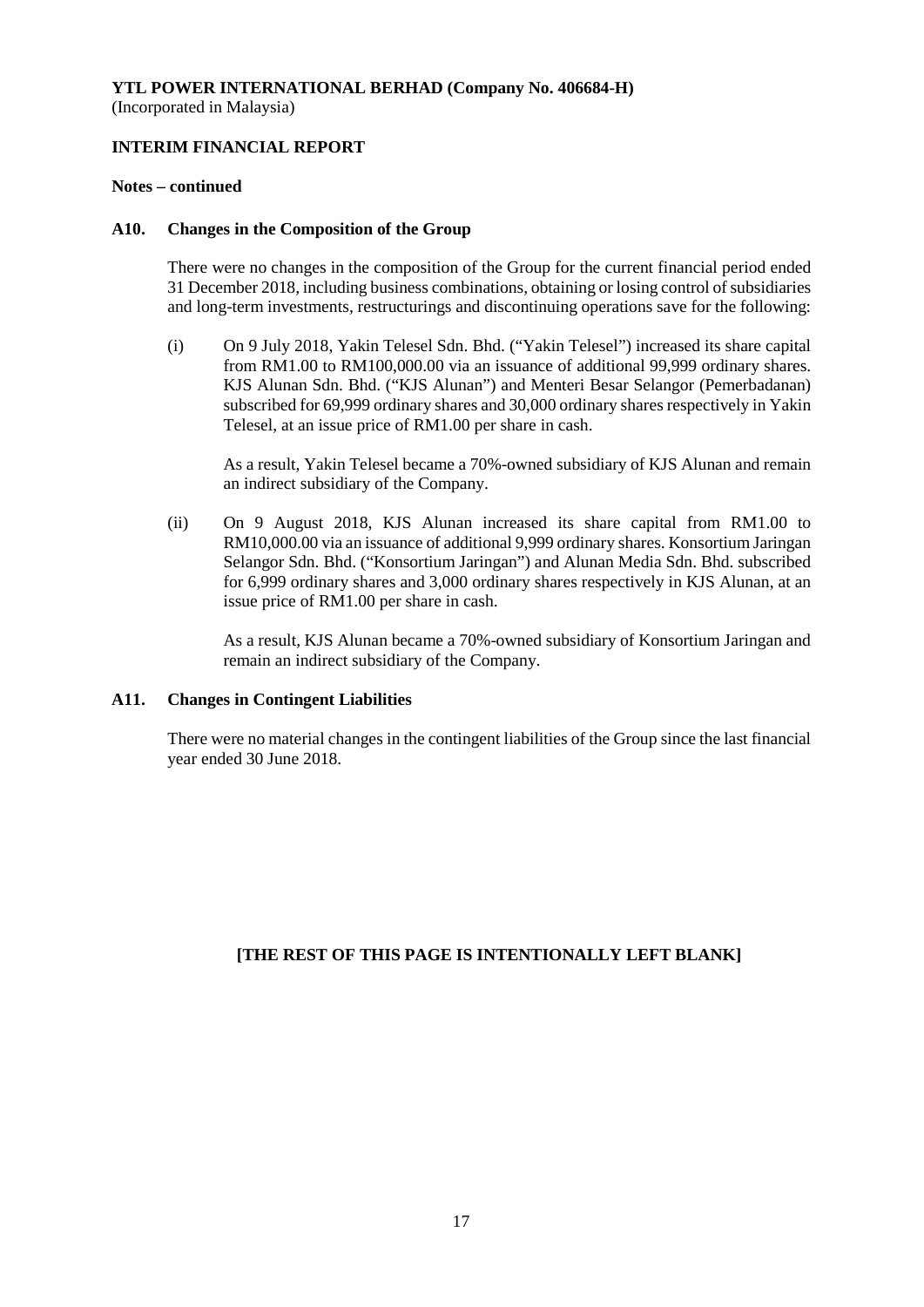# **INTERIM FINANCIAL REPORT**

#### **Notes – continued**

#### **A10. Changes in the Composition of the Group**

There were no changes in the composition of the Group for the current financial period ended 31 December 2018, including business combinations, obtaining or losing control of subsidiaries and long-term investments, restructurings and discontinuing operations save for the following:

(i) On 9 July 2018, Yakin Telesel Sdn. Bhd. ("Yakin Telesel") increased its share capital from RM1.00 to RM100,000.00 via an issuance of additional 99,999 ordinary shares. KJS Alunan Sdn. Bhd. ("KJS Alunan") and Menteri Besar Selangor (Pemerbadanan) subscribed for 69,999 ordinary shares and 30,000 ordinary shares respectively in Yakin Telesel, at an issue price of RM1.00 per share in cash.

As a result, Yakin Telesel became a 70%-owned subsidiary of KJS Alunan and remain an indirect subsidiary of the Company.

(ii) On 9 August 2018, KJS Alunan increased its share capital from RM1.00 to RM10,000.00 via an issuance of additional 9,999 ordinary shares. Konsortium Jaringan Selangor Sdn. Bhd. ("Konsortium Jaringan") and Alunan Media Sdn. Bhd. subscribed for 6,999 ordinary shares and 3,000 ordinary shares respectively in KJS Alunan, at an issue price of RM1.00 per share in cash.

As a result, KJS Alunan became a 70%-owned subsidiary of Konsortium Jaringan and remain an indirect subsidiary of the Company.

## **A11. Changes in Contingent Liabilities**

There were no material changes in the contingent liabilities of the Group since the last financial year ended 30 June 2018.

## **[THE REST OF THIS PAGE IS INTENTIONALLY LEFT BLANK]**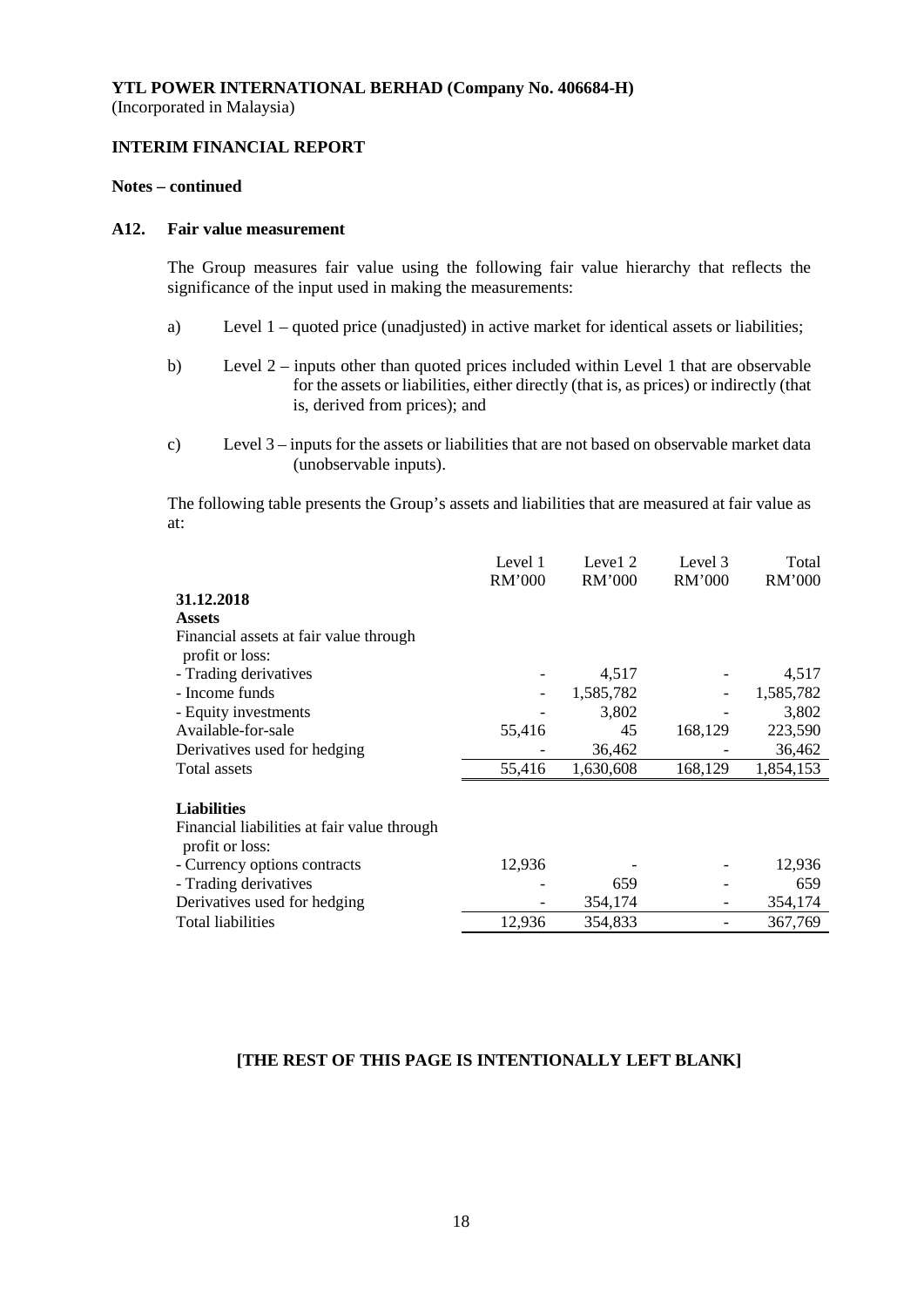# **INTERIM FINANCIAL REPORT**

#### **Notes – continued**

## **A12. Fair value measurement**

The Group measures fair value using the following fair value hierarchy that reflects the significance of the input used in making the measurements:

- a) Level 1 quoted price (unadjusted) in active market for identical assets or liabilities;
- b) Level 2 inputs other than quoted prices included within Level 1 that are observable for the assets or liabilities, either directly (that is, as prices) or indirectly (that is, derived from prices); and
- c) Level 3 inputs for the assets or liabilities that are not based on observable market data (unobservable inputs).

The following table presents the Group's assets and liabilities that are measured at fair value as at:

|                                                                | Level 1<br>RM'000 | Level 2<br><b>RM'000</b> | Level 3<br>RM'000 | Total<br>RM'000 |
|----------------------------------------------------------------|-------------------|--------------------------|-------------------|-----------------|
| 31.12.2018                                                     |                   |                          |                   |                 |
| <b>Assets</b>                                                  |                   |                          |                   |                 |
| Financial assets at fair value through                         |                   |                          |                   |                 |
| profit or loss:                                                |                   |                          |                   |                 |
| - Trading derivatives                                          |                   | 4,517                    |                   | 4,517           |
| - Income funds                                                 |                   | 1,585,782                |                   | 1,585,782       |
| - Equity investments                                           |                   | 3,802                    |                   | 3,802           |
| Available-for-sale                                             | 55,416            | 45                       | 168,129           | 223,590         |
| Derivatives used for hedging                                   |                   | 36,462                   |                   | 36,462          |
| Total assets                                                   | 55,416            | 1,630,608                | 168,129           | 1,854,153       |
| <b>Liabilities</b>                                             |                   |                          |                   |                 |
| Financial liabilities at fair value through<br>profit or loss: |                   |                          |                   |                 |
| - Currency options contracts                                   | 12,936            |                          |                   | 12,936          |
| - Trading derivatives                                          |                   | 659                      |                   | 659             |
| Derivatives used for hedging                                   |                   | 354,174                  |                   | 354,174         |
| <b>Total liabilities</b>                                       | 12,936            | 354,833                  |                   | 367,769         |

## **[THE REST OF THIS PAGE IS INTENTIONALLY LEFT BLANK]**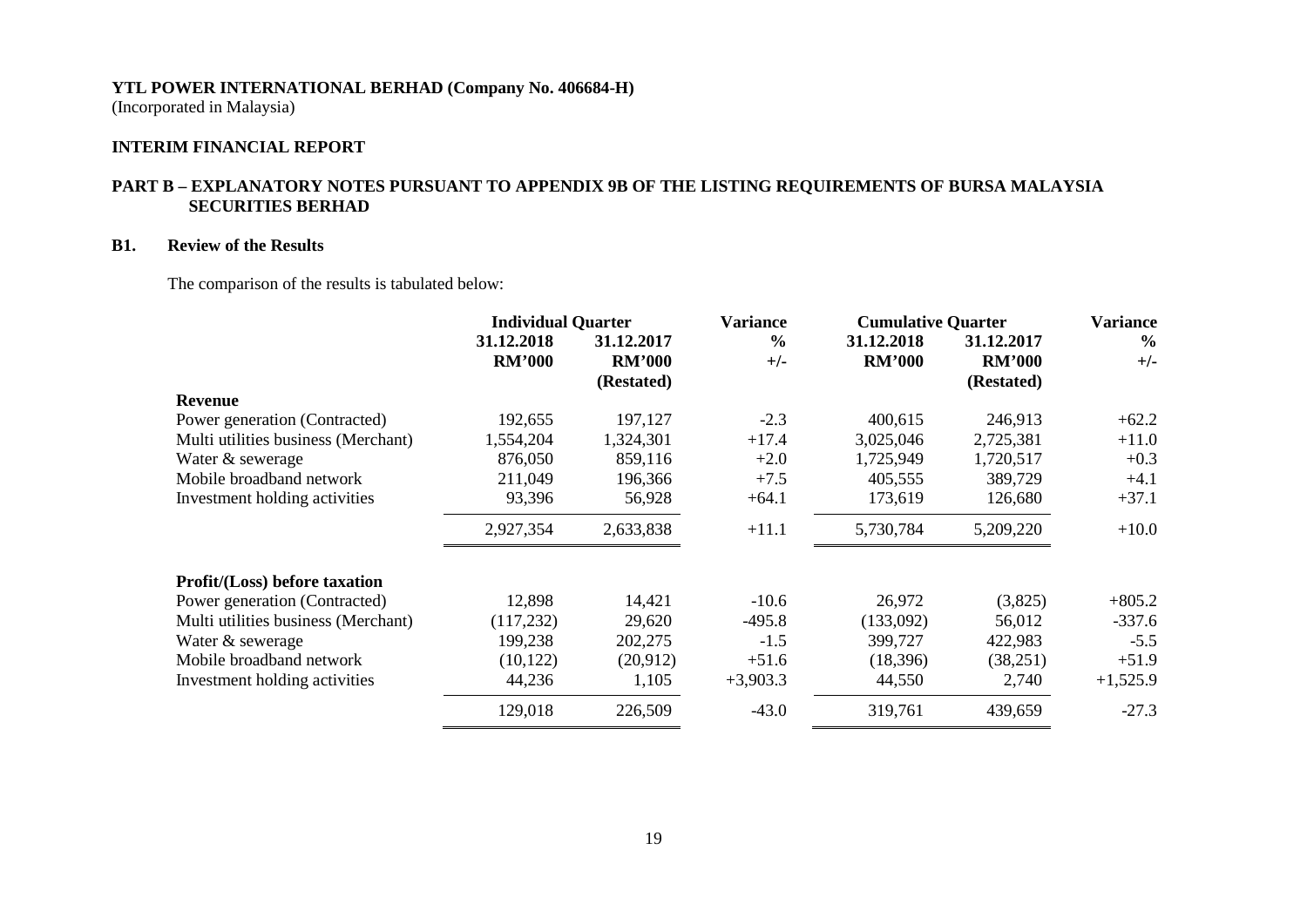(Incorporated in Malaysia)

## **INTERIM FINANCIAL REPORT**

## **PART B – EXPLANATORY NOTES PURSUANT TO APPENDIX 9B OF THE LISTING REQUIREMENTS OF BURSA MALAYSIA SECURITIES BERHAD**

### **B1. Review of the Results**

The comparison of the results is tabulated below:

|                                      | <b>Individual Quarter</b> |               | <b>Variance</b> | <b>Cumulative Quarter</b> |               | <b>Variance</b> |
|--------------------------------------|---------------------------|---------------|-----------------|---------------------------|---------------|-----------------|
|                                      | 31.12.2018                | 31.12.2017    | $\frac{0}{0}$   | 31.12.2018                | 31.12.2017    | $\frac{6}{6}$   |
|                                      | <b>RM'000</b>             | <b>RM'000</b> | $+/-$           | <b>RM'000</b>             | <b>RM'000</b> | $+/-$           |
|                                      |                           | (Restated)    |                 |                           | (Restated)    |                 |
| <b>Revenue</b>                       |                           |               |                 |                           |               |                 |
| Power generation (Contracted)        | 192,655                   | 197,127       | $-2.3$          | 400,615                   | 246,913       | $+62.2$         |
| Multi utilities business (Merchant)  | 1,554,204                 | 1,324,301     | $+17.4$         | 3,025,046                 | 2,725,381     | $+11.0$         |
| Water & sewerage                     | 876,050                   | 859,116       | $+2.0$          | 1,725,949                 | 1,720,517     | $+0.3$          |
| Mobile broadband network             | 211,049                   | 196,366       | $+7.5$          | 405,555                   | 389,729       | $+4.1$          |
| Investment holding activities        | 93,396                    | 56,928        | $+64.1$         | 173,619                   | 126,680       | $+37.1$         |
|                                      | 2,927,354                 | 2,633,838     | $+11.1$         | 5,730,784                 | 5,209,220     | $+10.0$         |
| <b>Profit/(Loss)</b> before taxation |                           |               |                 |                           |               |                 |
| Power generation (Contracted)        | 12,898                    | 14,421        | $-10.6$         | 26,972                    | (3,825)       | $+805.2$        |
| Multi utilities business (Merchant)  | (117, 232)                | 29,620        | $-495.8$        | (133,092)                 | 56,012        | $-337.6$        |
| Water & sewerage                     | 199,238                   | 202,275       | $-1.5$          | 399,727                   | 422,983       | $-5.5$          |
| Mobile broadband network             | (10, 122)                 | (20,912)      | $+51.6$         | (18, 396)                 | (38, 251)     | $+51.9$         |
| Investment holding activities        | 44,236                    | 1,105         | $+3,903.3$      | 44,550                    | 2,740         | $+1,525.9$      |
|                                      | 129,018                   | 226,509       | $-43.0$         | 319,761                   | 439,659       | $-27.3$         |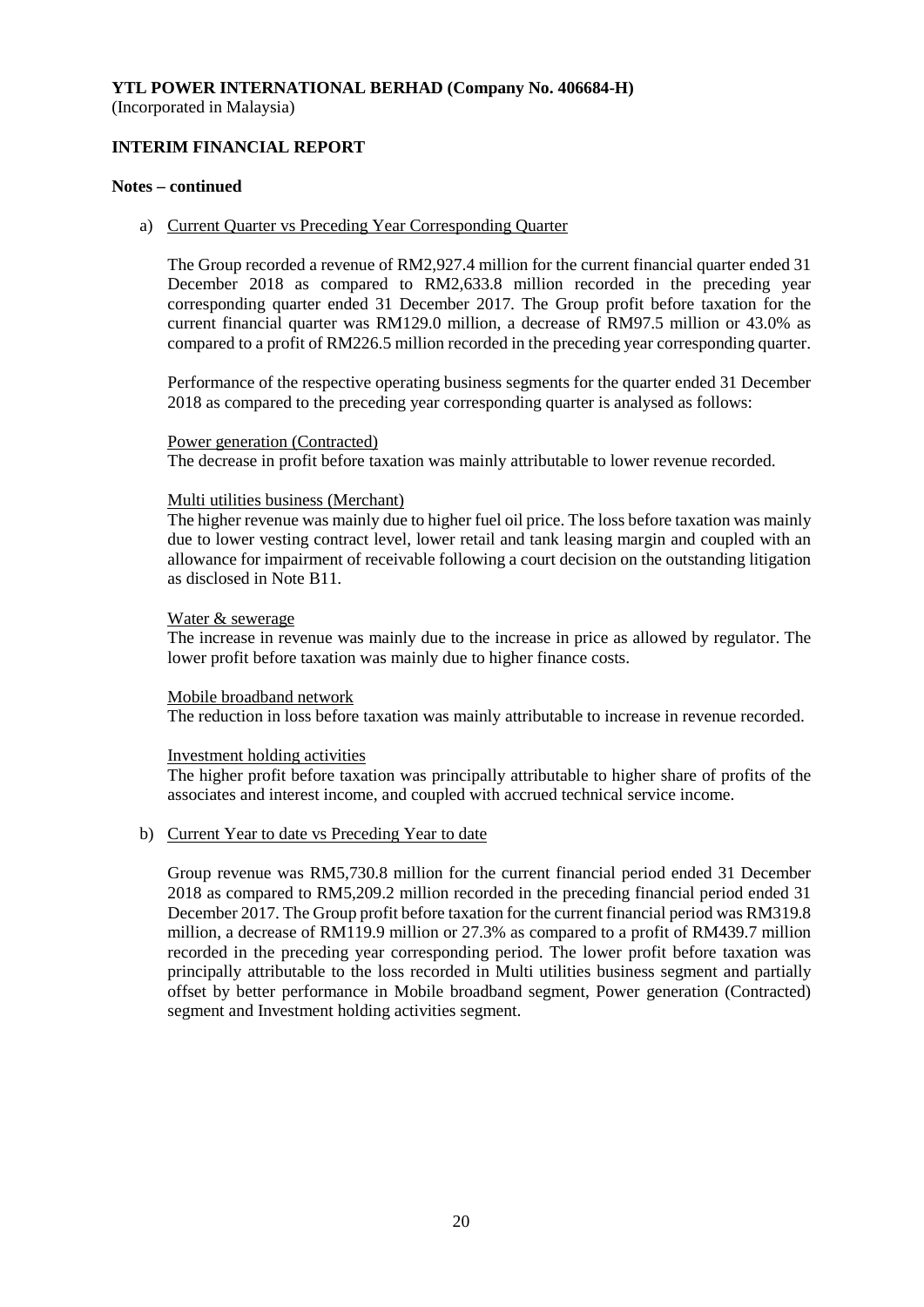# **INTERIM FINANCIAL REPORT**

#### **Notes – continued**

#### a) Current Quarter vs Preceding Year Corresponding Quarter

The Group recorded a revenue of RM2,927.4 million for the current financial quarter ended 31 December 2018 as compared to RM2,633.8 million recorded in the preceding year corresponding quarter ended 31 December 2017. The Group profit before taxation for the current financial quarter was RM129.0 million, a decrease of RM97.5 million or 43.0% as compared to a profit of RM226.5 million recorded in the preceding year corresponding quarter.

Performance of the respective operating business segments for the quarter ended 31 December 2018 as compared to the preceding year corresponding quarter is analysed as follows:

#### Power generation (Contracted)

The decrease in profit before taxation was mainly attributable to lower revenue recorded.

#### Multi utilities business (Merchant)

The higher revenue was mainly due to higher fuel oil price. The loss before taxation was mainly due to lower vesting contract level, lower retail and tank leasing margin and coupled with an allowance for impairment of receivable following a court decision on the outstanding litigation as disclosed in Note B11.

#### Water & sewerage

The increase in revenue was mainly due to the increase in price as allowed by regulator. The lower profit before taxation was mainly due to higher finance costs.

#### Mobile broadband network

The reduction in loss before taxation was mainly attributable to increase in revenue recorded.

#### Investment holding activities

The higher profit before taxation was principally attributable to higher share of profits of the associates and interest income, and coupled with accrued technical service income.

## b) Current Year to date vs Preceding Year to date

Group revenue was RM5,730.8 million for the current financial period ended 31 December 2018 as compared to RM5,209.2 million recorded in the preceding financial period ended 31 December 2017. The Group profit before taxation for the current financial period was RM319.8 million, a decrease of RM119.9 million or 27.3% as compared to a profit of RM439.7 million recorded in the preceding year corresponding period. The lower profit before taxation was principally attributable to the loss recorded in Multi utilities business segment and partially offset by better performance in Mobile broadband segment, Power generation (Contracted) segment and Investment holding activities segment.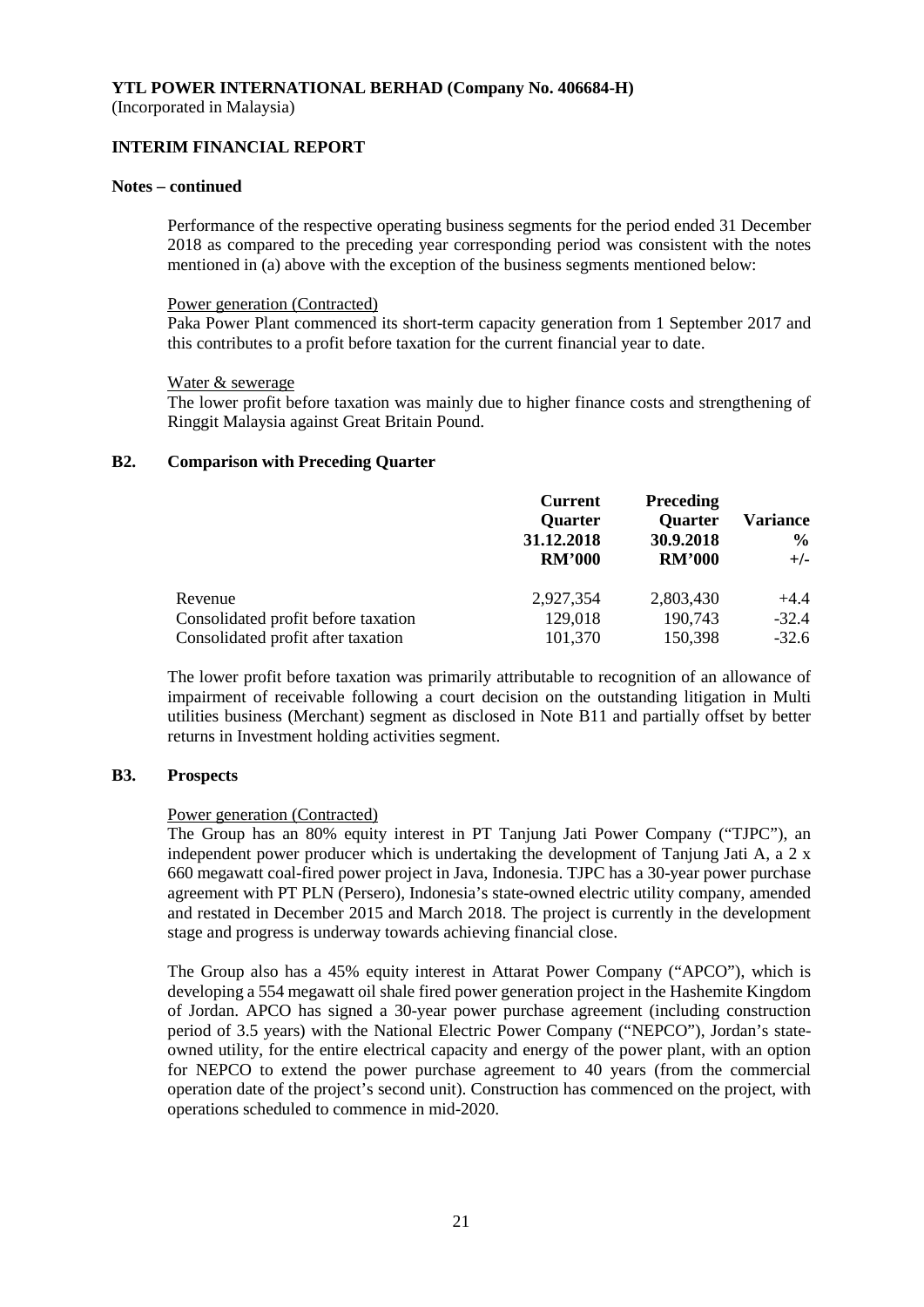(Incorporated in Malaysia)

## **INTERIM FINANCIAL REPORT**

#### **Notes – continued**

Performance of the respective operating business segments for the period ended 31 December 2018 as compared to the preceding year corresponding period was consistent with the notes mentioned in (a) above with the exception of the business segments mentioned below:

#### Power generation (Contracted)

Paka Power Plant commenced its short-term capacity generation from 1 September 2017 and this contributes to a profit before taxation for the current financial year to date.

#### Water & sewerage

The lower profit before taxation was mainly due to higher finance costs and strengthening of Ringgit Malaysia against Great Britain Pound.

#### **B2. Comparison with Preceding Quarter**

|                                     | <b>Current</b><br><b>Quarter</b><br>31.12.2018<br><b>RM'000</b> | <b>Preceding</b><br><b>Quarter</b><br>30.9.2018<br><b>RM'000</b> | <b>Variance</b><br>$\frac{6}{10}$<br>$+/-$ |
|-------------------------------------|-----------------------------------------------------------------|------------------------------------------------------------------|--------------------------------------------|
| Revenue                             | 2,927,354                                                       | 2,803,430                                                        | $+4.4$                                     |
| Consolidated profit before taxation | 129,018                                                         | 190,743                                                          | $-32.4$                                    |
| Consolidated profit after taxation  | 101,370                                                         | 150,398                                                          | $-32.6$                                    |

The lower profit before taxation was primarily attributable to recognition of an allowance of impairment of receivable following a court decision on the outstanding litigation in Multi utilities business (Merchant) segment as disclosed in Note B11 and partially offset by better returns in Investment holding activities segment.

## **B3. Prospects**

## Power generation (Contracted)

The Group has an 80% equity interest in PT Tanjung Jati Power Company ("TJPC"), an independent power producer which is undertaking the development of Tanjung Jati A, a 2 x 660 megawatt coal-fired power project in Java, Indonesia. TJPC has a 30-year power purchase agreement with PT PLN (Persero), Indonesia's state-owned electric utility company, amended and restated in December 2015 and March 2018. The project is currently in the development stage and progress is underway towards achieving financial close.

The Group also has a 45% equity interest in Attarat Power Company ("APCO"), which is developing a 554 megawatt oil shale fired power generation project in the Hashemite Kingdom of Jordan. APCO has signed a 30-year power purchase agreement (including construction period of 3.5 years) with the National Electric Power Company ("NEPCO"), Jordan's stateowned utility, for the entire electrical capacity and energy of the power plant, with an option for NEPCO to extend the power purchase agreement to 40 years (from the commercial operation date of the project's second unit). Construction has commenced on the project, with operations scheduled to commence in mid-2020.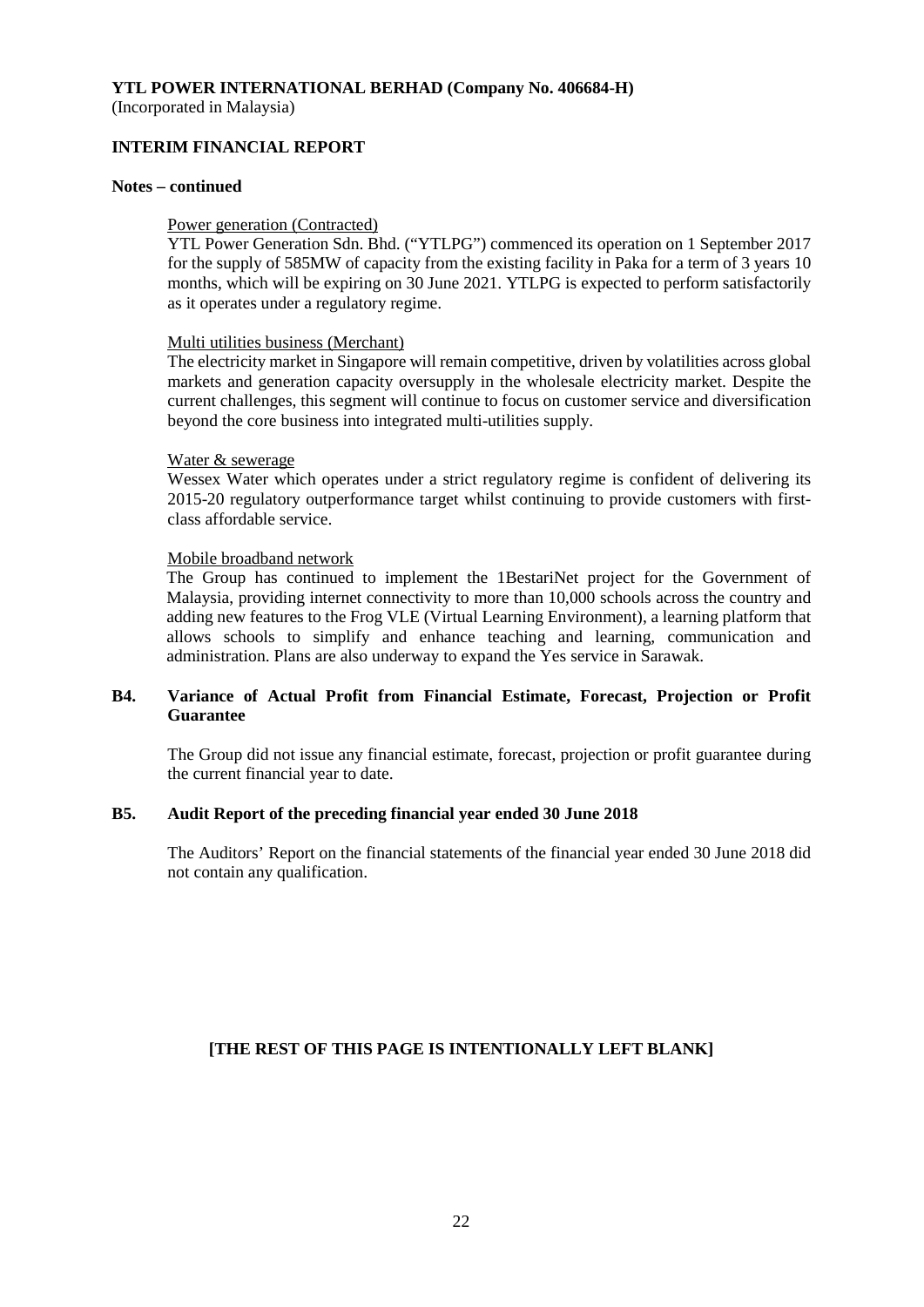(Incorporated in Malaysia)

# **INTERIM FINANCIAL REPORT**

#### **Notes – continued**

#### Power generation (Contracted)

YTL Power Generation Sdn. Bhd. ("YTLPG") commenced its operation on 1 September 2017 for the supply of 585MW of capacity from the existing facility in Paka for a term of 3 years 10 months, which will be expiring on 30 June 2021. YTLPG is expected to perform satisfactorily as it operates under a regulatory regime.

#### Multi utilities business (Merchant)

The electricity market in Singapore will remain competitive, driven by volatilities across global markets and generation capacity oversupply in the wholesale electricity market. Despite the current challenges, this segment will continue to focus on customer service and diversification beyond the core business into integrated multi-utilities supply.

#### Water & sewerage

Wessex Water which operates under a strict regulatory regime is confident of delivering its 2015-20 regulatory outperformance target whilst continuing to provide customers with firstclass affordable service.

## Mobile broadband network

The Group has continued to implement the 1BestariNet project for the Government of Malaysia, providing internet connectivity to more than 10,000 schools across the country and adding new features to the Frog VLE (Virtual Learning Environment), a learning platform that allows schools to simplify and enhance teaching and learning, communication and administration. Plans are also underway to expand the Yes service in Sarawak.

## **B4. Variance of Actual Profit from Financial Estimate, Forecast, Projection or Profit Guarantee**

The Group did not issue any financial estimate, forecast, projection or profit guarantee during the current financial year to date.

## **B5. Audit Report of the preceding financial year ended 30 June 2018**

The Auditors' Report on the financial statements of the financial year ended 30 June 2018 did not contain any qualification.

# **[THE REST OF THIS PAGE IS INTENTIONALLY LEFT BLANK]**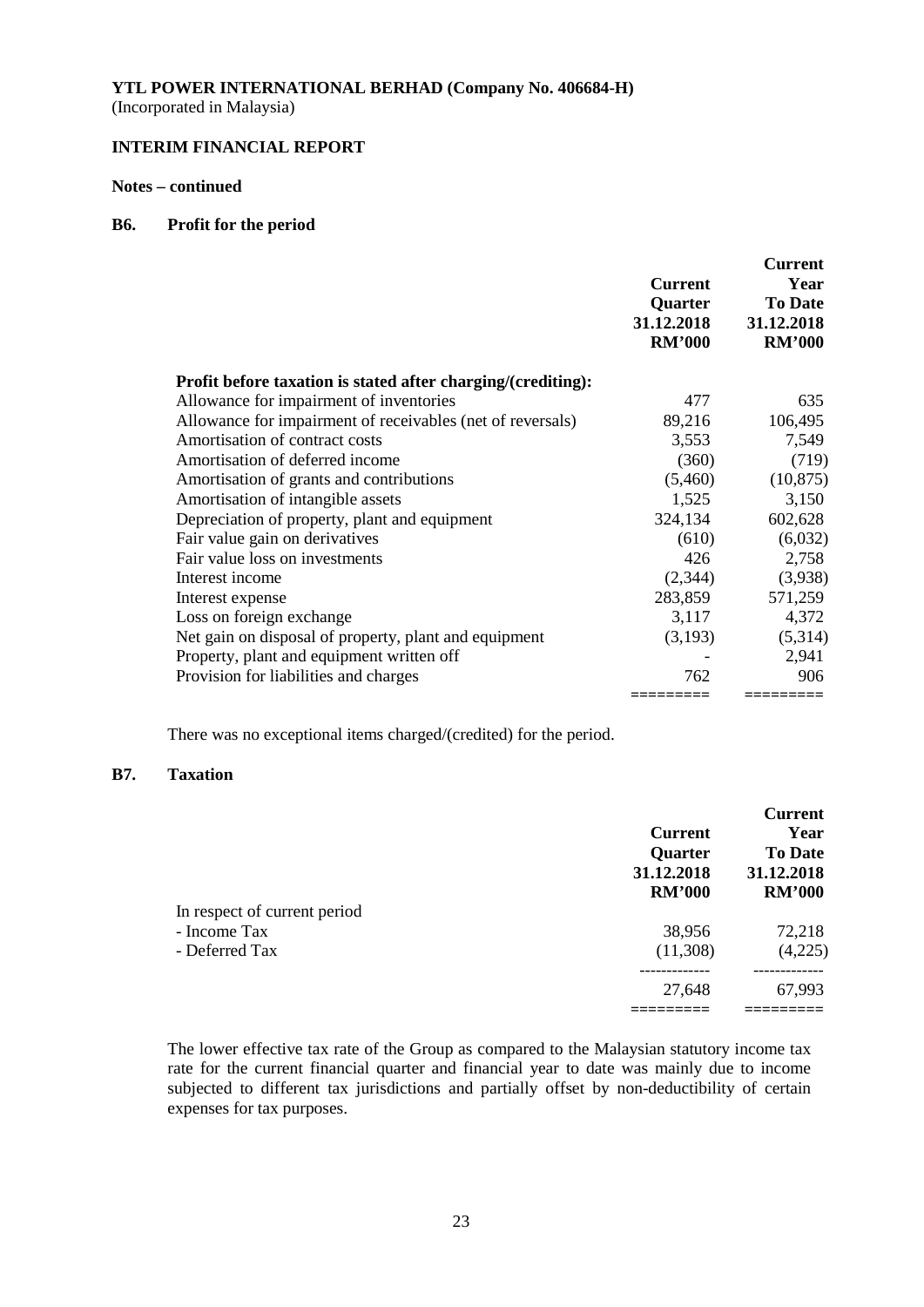(Incorporated in Malaysia)

# **INTERIM FINANCIAL REPORT**

## **Notes – continued**

#### **B6. Profit for the period**

|                                                              | <b>Current</b><br>Quarter<br>31.12.2018<br><b>RM'000</b> | <b>Current</b><br>Year<br><b>To Date</b><br>31.12.2018<br><b>RM'000</b> |
|--------------------------------------------------------------|----------------------------------------------------------|-------------------------------------------------------------------------|
| Profit before taxation is stated after charging/(crediting): |                                                          |                                                                         |
| Allowance for impairment of inventories                      | 477                                                      | 635                                                                     |
| Allowance for impairment of receivables (net of reversals)   | 89,216                                                   | 106,495                                                                 |
| Amortisation of contract costs                               | 3,553                                                    | 7,549                                                                   |
| Amortisation of deferred income                              | (360)                                                    | (719)                                                                   |
| Amortisation of grants and contributions                     | (5,460)                                                  | (10, 875)                                                               |
| Amortisation of intangible assets                            | 1,525                                                    | 3,150                                                                   |
| Depreciation of property, plant and equipment                | 324,134                                                  | 602,628                                                                 |
| Fair value gain on derivatives                               | (610)                                                    | (6,032)                                                                 |
| Fair value loss on investments                               | 426                                                      | 2,758                                                                   |
| Interest income                                              | (2,344)                                                  | (3,938)                                                                 |
| Interest expense                                             | 283,859                                                  | 571,259                                                                 |
| Loss on foreign exchange                                     | 3,117                                                    | 4,372                                                                   |
| Net gain on disposal of property, plant and equipment        | (3,193)                                                  | (5,314)                                                                 |
| Property, plant and equipment written off                    |                                                          | 2,941                                                                   |
| Provision for liabilities and charges                        | 762                                                      | 906                                                                     |
|                                                              |                                                          | ========                                                                |

There was no exceptional items charged/(credited) for the period.

# **B7. Taxation**

|                              | <b>Current</b><br><b>Quarter</b><br>31.12.2018<br><b>RM'000</b> | <b>Current</b><br>Year<br><b>To Date</b><br>31.12.2018<br><b>RM'000</b> |
|------------------------------|-----------------------------------------------------------------|-------------------------------------------------------------------------|
| In respect of current period |                                                                 |                                                                         |
| - Income Tax                 | 38,956                                                          | 72,218                                                                  |
| - Deferred Tax               | (11,308)                                                        | (4,225)                                                                 |
|                              | 27,648                                                          | 67,993                                                                  |
|                              |                                                                 |                                                                         |

The lower effective tax rate of the Group as compared to the Malaysian statutory income tax rate for the current financial quarter and financial year to date was mainly due to income subjected to different tax jurisdictions and partially offset by non-deductibility of certain expenses for tax purposes.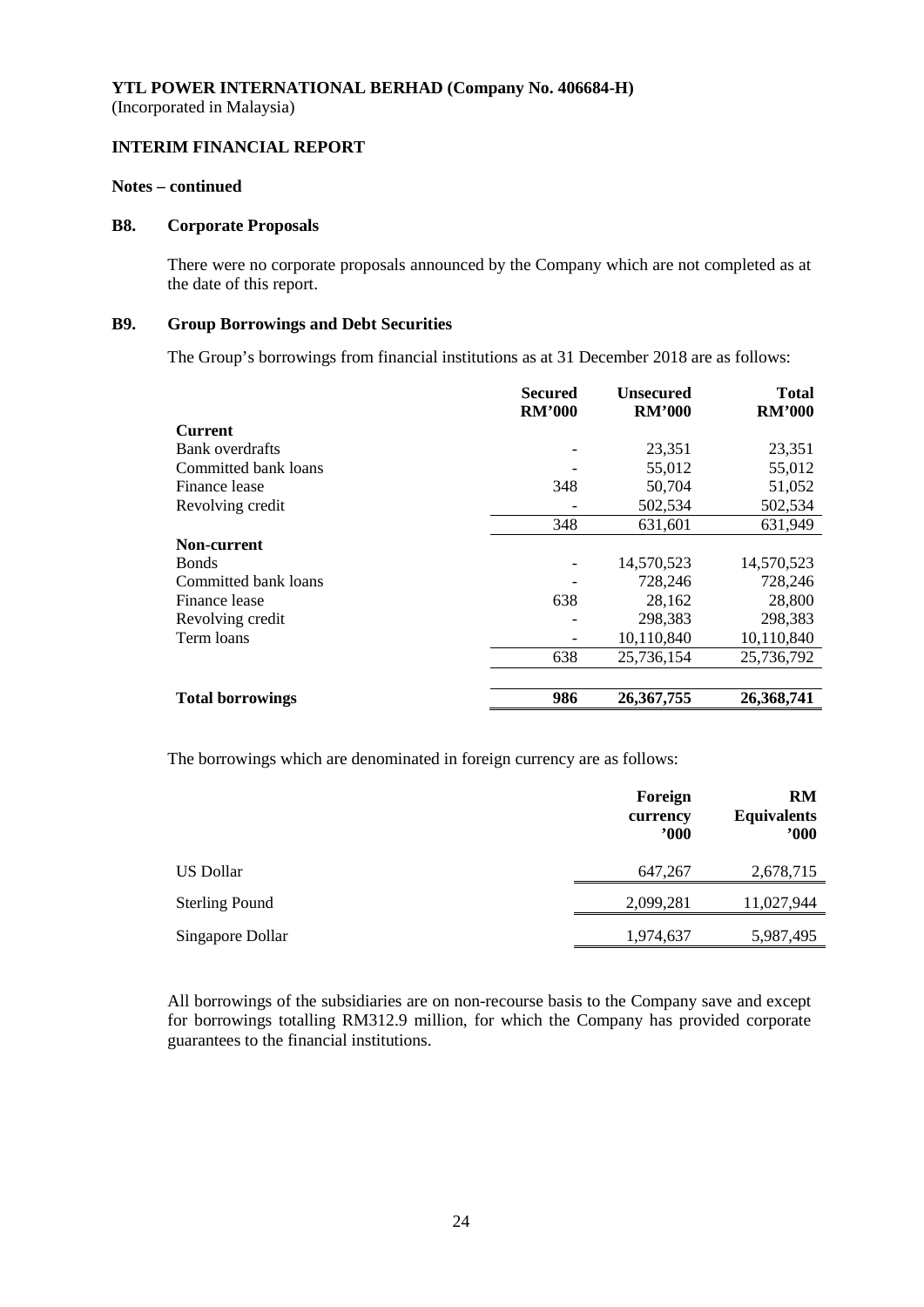## **INTERIM FINANCIAL REPORT**

#### **Notes – continued**

#### **B8. Corporate Proposals**

There were no corporate proposals announced by the Company which are not completed as at the date of this report.

## **B9. Group Borrowings and Debt Securities**

The Group's borrowings from financial institutions as at 31 December 2018 are as follows:

|                         | <b>Secured</b><br><b>RM'000</b> | <b>Unsecured</b><br><b>RM'000</b> | <b>Total</b><br><b>RM'000</b> |
|-------------------------|---------------------------------|-----------------------------------|-------------------------------|
| <b>Current</b>          |                                 |                                   |                               |
| Bank overdrafts         |                                 | 23,351                            | 23,351                        |
| Committed bank loans    |                                 | 55,012                            | 55,012                        |
| Finance lease           | 348                             | 50,704                            | 51,052                        |
| Revolving credit        |                                 | 502,534                           | 502,534                       |
|                         | 348                             | 631,601                           | 631,949                       |
| Non-current             |                                 |                                   |                               |
| <b>Bonds</b>            |                                 | 14,570,523                        | 14,570,523                    |
| Committed bank loans    |                                 | 728,246                           | 728,246                       |
| Finance lease           | 638                             | 28,162                            | 28,800                        |
| Revolving credit        |                                 | 298,383                           | 298,383                       |
| Term loans              |                                 | 10,110,840                        | 10,110,840                    |
|                         | 638                             | 25,736,154                        | 25,736,792                    |
|                         |                                 |                                   |                               |
| <b>Total borrowings</b> | 986                             | 26, 367, 755                      | 26,368,741                    |

The borrowings which are denominated in foreign currency are as follows:

|                       | Foreign<br>currency<br>$^{\prime}000$ | <b>RM</b><br><b>Equivalents</b><br>$900^\circ$ |
|-----------------------|---------------------------------------|------------------------------------------------|
| US Dollar             | 647,267                               | 2,678,715                                      |
| <b>Sterling Pound</b> | 2,099,281                             | 11,027,944                                     |
| Singapore Dollar      | 1,974,637                             | 5,987,495                                      |

All borrowings of the subsidiaries are on non-recourse basis to the Company save and except for borrowings totalling RM312.9 million, for which the Company has provided corporate guarantees to the financial institutions.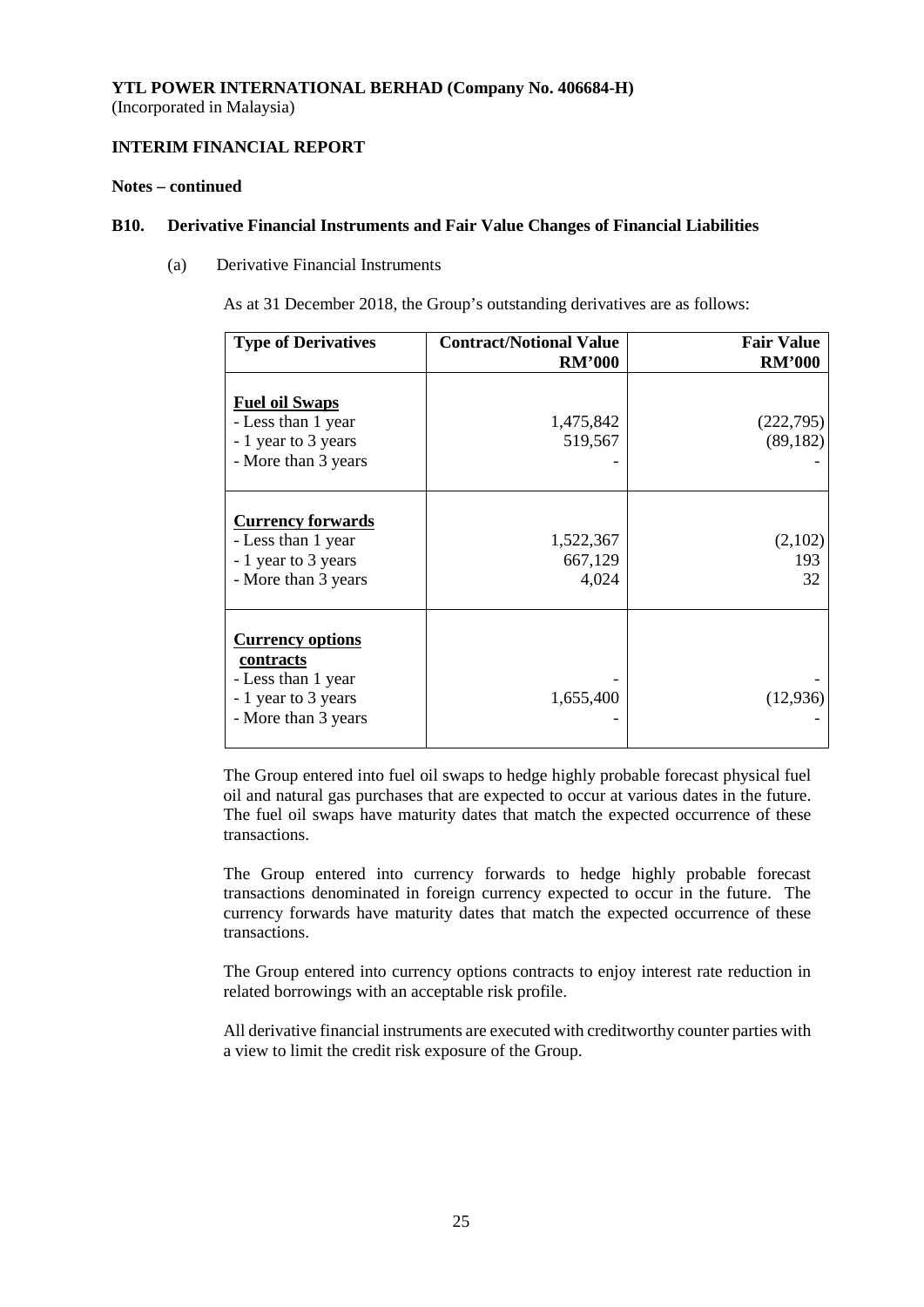# **INTERIM FINANCIAL REPORT**

## **Notes – continued**

#### **B10. Derivative Financial Instruments and Fair Value Changes of Financial Liabilities**

(a) Derivative Financial Instruments

As at 31 December 2018, the Group's outstanding derivatives are as follows:

| <b>Type of Derivatives</b>                                                                               | <b>Contract/Notional Value</b><br><b>RM'000</b> | <b>Fair Value</b><br><b>RM'000</b> |
|----------------------------------------------------------------------------------------------------------|-------------------------------------------------|------------------------------------|
| <b>Fuel oil Swaps</b><br>- Less than 1 year<br>- 1 year to 3 years<br>- More than 3 years                | 1,475,842<br>519,567                            | (222, 795)<br>(89, 182)            |
| <b>Currency forwards</b><br>- Less than 1 year<br>- 1 year to 3 years<br>- More than 3 years             | 1,522,367<br>667,129<br>4,024                   | (2,102)<br>193<br>32               |
| <b>Currency options</b><br>contracts<br>- Less than 1 year<br>- 1 year to 3 years<br>- More than 3 years | 1,655,400                                       | (12, 936)                          |

The Group entered into fuel oil swaps to hedge highly probable forecast physical fuel oil and natural gas purchases that are expected to occur at various dates in the future. The fuel oil swaps have maturity dates that match the expected occurrence of these transactions.

The Group entered into currency forwards to hedge highly probable forecast transactions denominated in foreign currency expected to occur in the future. The currency forwards have maturity dates that match the expected occurrence of these transactions.

The Group entered into currency options contracts to enjoy interest rate reduction in related borrowings with an acceptable risk profile.

All derivative financial instruments are executed with creditworthy counter parties with a view to limit the credit risk exposure of the Group.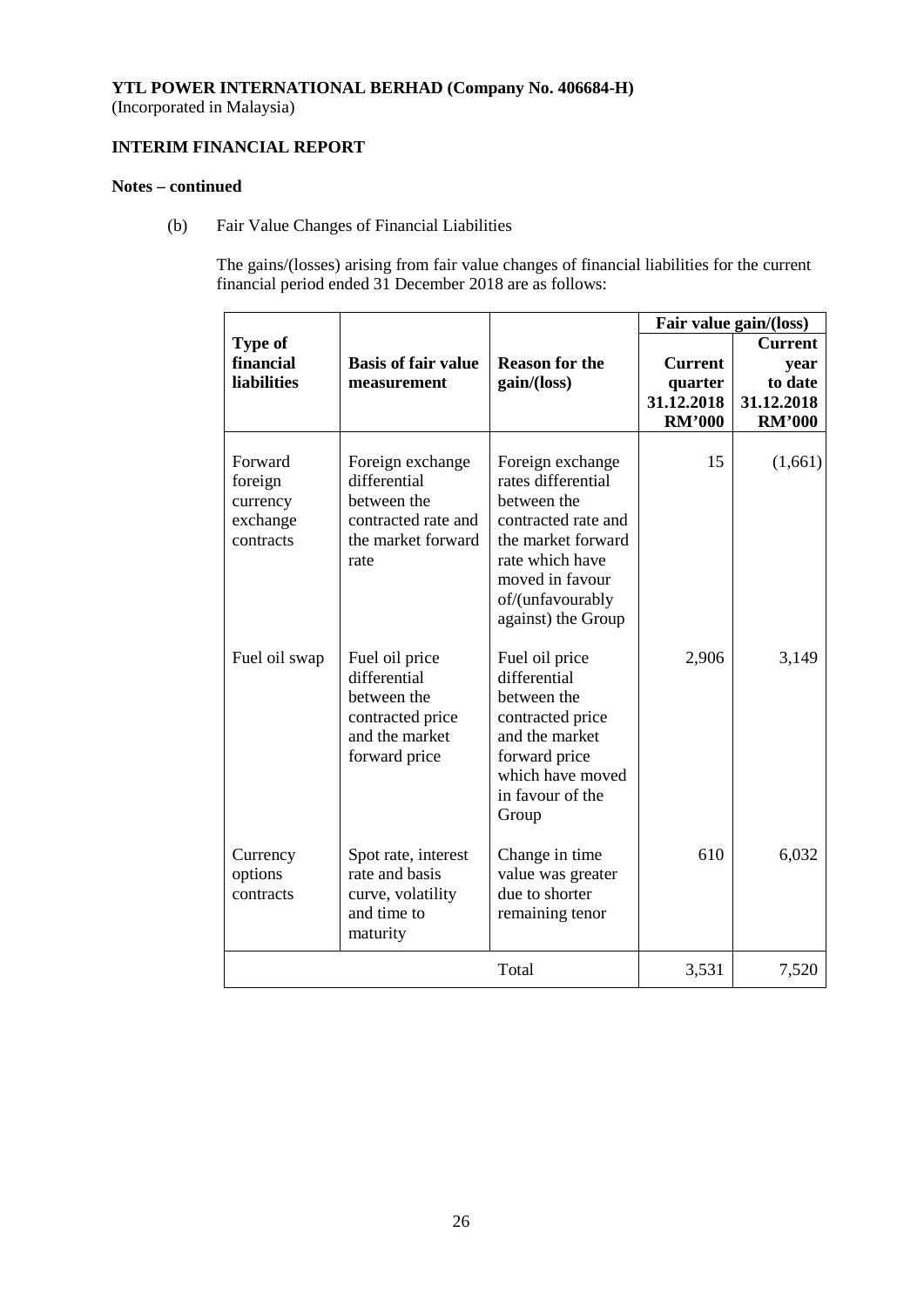(Incorporated in Malaysia)

# **INTERIM FINANCIAL REPORT**

# **Notes – continued**

(b) Fair Value Changes of Financial Liabilities

The gains/(losses) arising from fair value changes of financial liabilities for the current financial period ended 31 December 2018 are as follows:

|                                                         |                                                                                                      |                                                                                                                                                                                    | Fair value gain/(loss)                                   |                                                                  |
|---------------------------------------------------------|------------------------------------------------------------------------------------------------------|------------------------------------------------------------------------------------------------------------------------------------------------------------------------------------|----------------------------------------------------------|------------------------------------------------------------------|
| <b>Type of</b><br>financial<br><b>liabilities</b>       | <b>Basis of fair value</b><br>measurement                                                            | <b>Reason for the</b><br>gain/(loss)                                                                                                                                               | <b>Current</b><br>quarter<br>31.12.2018<br><b>RM'000</b> | <b>Current</b><br>year<br>to date<br>31.12.2018<br><b>RM'000</b> |
| Forward<br>foreign<br>currency<br>exchange<br>contracts | Foreign exchange<br>differential<br>between the<br>contracted rate and<br>the market forward<br>rate | Foreign exchange<br>rates differential<br>between the<br>contracted rate and<br>the market forward<br>rate which have<br>moved in favour<br>of/(unfavourably<br>against) the Group | 15                                                       | (1,661)                                                          |
| Fuel oil swap                                           | Fuel oil price<br>differential<br>between the<br>contracted price<br>and the market<br>forward price | Fuel oil price<br>differential<br>between the<br>contracted price<br>and the market<br>forward price<br>which have moved<br>in favour of the<br>Group                              | 2,906                                                    | 3,149                                                            |
| Currency<br>options<br>contracts                        | Spot rate, interest<br>rate and basis<br>curve, volatility<br>and time to<br>maturity                | Change in time<br>value was greater<br>due to shorter<br>remaining tenor                                                                                                           | 610                                                      | 6,032                                                            |
|                                                         |                                                                                                      | Total                                                                                                                                                                              | 3,531                                                    | 7,520                                                            |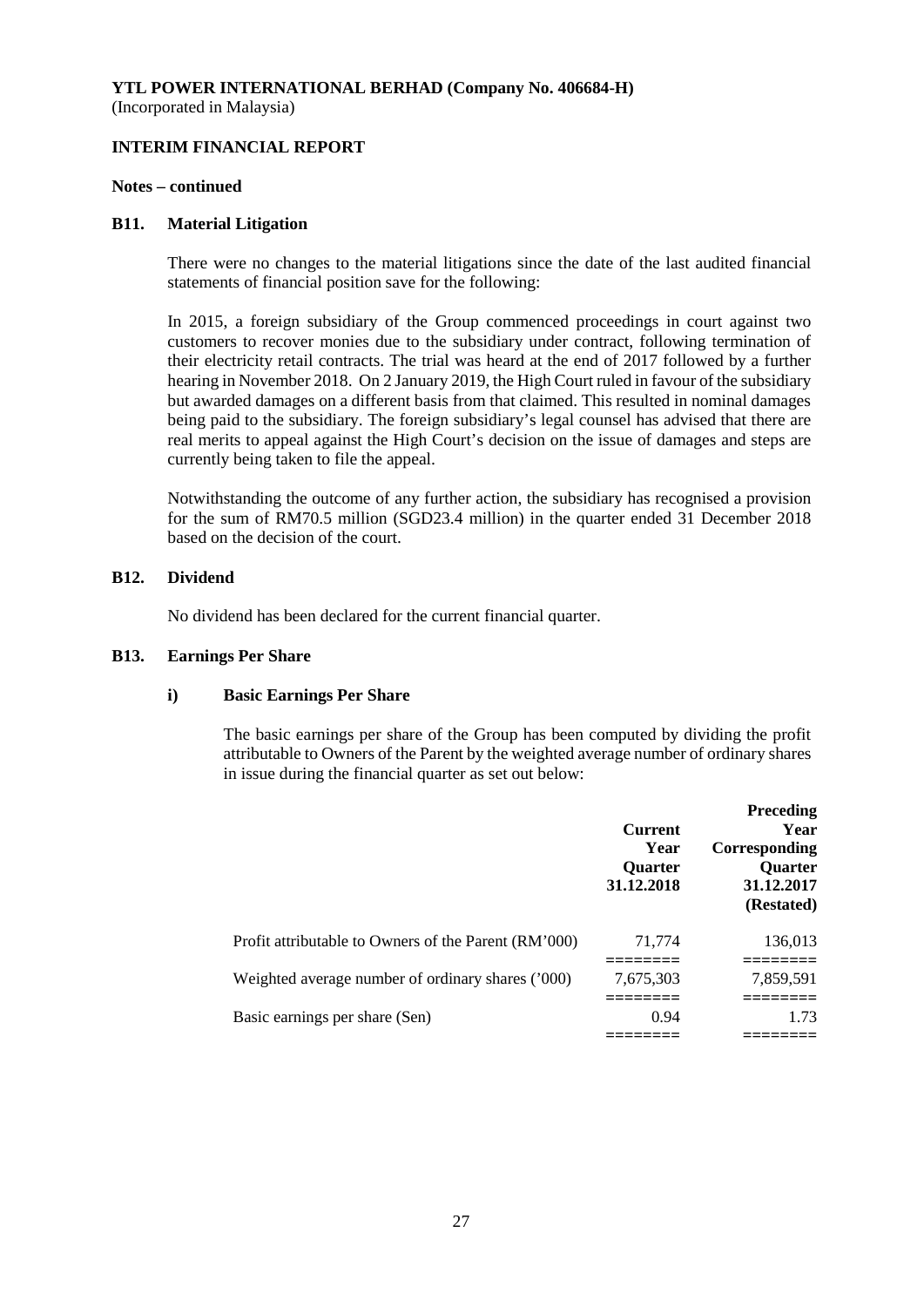**INTERIM FINANCIAL REPORT**

#### **Notes – continued**

#### **B11. Material Litigation**

There were no changes to the material litigations since the date of the last audited financial statements of financial position save for the following:

In 2015, a foreign subsidiary of the Group commenced proceedings in court against two customers to recover monies due to the subsidiary under contract, following termination of their electricity retail contracts. The trial was heard at the end of 2017 followed by a further hearing in November 2018. On 2 January 2019, the High Court ruled in favour of the subsidiary but awarded damages on a different basis from that claimed. This resulted in nominal damages being paid to the subsidiary. The foreign subsidiary's legal counsel has advised that there are real merits to appeal against the High Court's decision on the issue of damages and steps are currently being taken to file the appeal.

Notwithstanding the outcome of any further action, the subsidiary has recognised a provision for the sum of RM70.5 million (SGD23.4 million) in the quarter ended 31 December 2018 based on the decision of the court.

#### **B12. Dividend**

No dividend has been declared for the current financial quarter.

#### **B13. Earnings Per Share**

## **i) Basic Earnings Per Share**

The basic earnings per share of the Group has been computed by dividing the profit attributable to Owners of the Parent by the weighted average number of ordinary shares in issue during the financial quarter as set out below:

|                                                      | Current<br>Year<br>Quarter<br>31.12.2018 | <b>Preceding</b><br>Year<br>Corresponding<br><b>Ouarter</b><br>31.12.2017<br>(Restated) |
|------------------------------------------------------|------------------------------------------|-----------------------------------------------------------------------------------------|
| Profit attributable to Owners of the Parent (RM'000) | 71,774                                   | 136,013                                                                                 |
| Weighted average number of ordinary shares ('000)    | 7,675,303                                | 7,859,591                                                                               |
| Basic earnings per share (Sen)                       | 0.94                                     | 1.73                                                                                    |